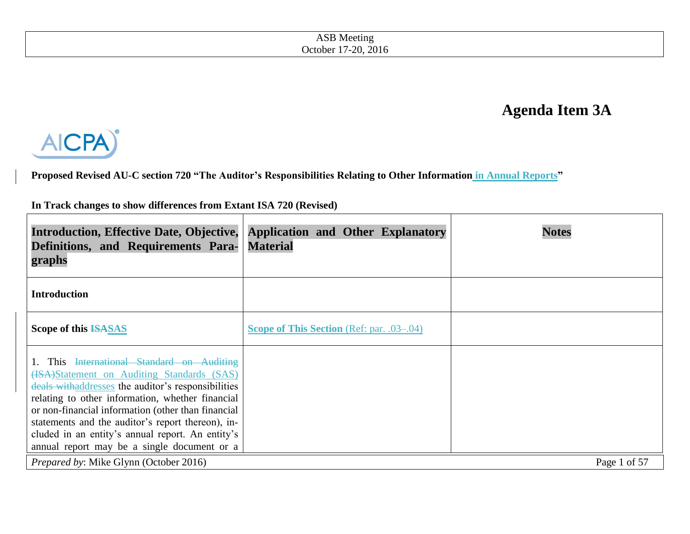# **Agenda Item 3A**



**Proposed Revised AU-C section 720 "The Auditor's Responsibilities Relating to Other Information in Annual Reports"** 

**In Track changes to show differences from Extant ISA 720 (Revised)**

| <b>Introduction, Effective Date, Objective,</b><br>Definitions, and Requirements Para-<br>graphs                                                                                                                                                                                                                                                                                                               | <b>Application and Other Explanatory</b><br><b>Material</b> | <b>Notes</b> |
|----------------------------------------------------------------------------------------------------------------------------------------------------------------------------------------------------------------------------------------------------------------------------------------------------------------------------------------------------------------------------------------------------------------|-------------------------------------------------------------|--------------|
| <b>Introduction</b>                                                                                                                                                                                                                                                                                                                                                                                            |                                                             |              |
| Scope of this ISASAS                                                                                                                                                                                                                                                                                                                                                                                           | <b>Scope of This Section</b> (Ref: par. .03–.04)            |              |
| This International Standard on Auditing<br>(ISA)Statement on Auditing Standards (SAS)<br>deals with addresses the auditor's responsibilities<br>relating to other information, whether financial<br>or non-financial information (other than financial<br>statements and the auditor's report thereon), in-<br>cluded in an entity's annual report. An entity's<br>annual report may be a single document or a |                                                             |              |
| Prepared by: Mike Glynn (October 2016)                                                                                                                                                                                                                                                                                                                                                                         |                                                             | Page 1 of 57 |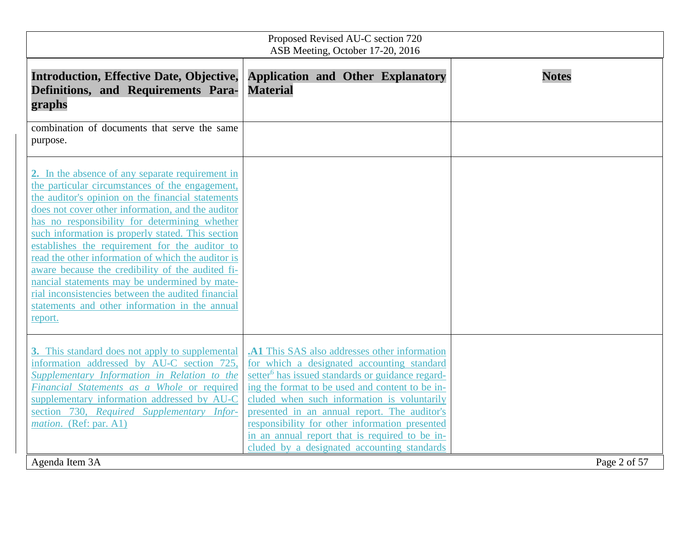| Proposed Revised AU-C section 720<br>ASB Meeting, October 17-20, 2016                                                                                                                                                                                                                                                                                                                                                                                                                                                                                                                                                                               |                                                                                                                                                                                                                                                                                                                                                                                                                                                                  |              |  |
|-----------------------------------------------------------------------------------------------------------------------------------------------------------------------------------------------------------------------------------------------------------------------------------------------------------------------------------------------------------------------------------------------------------------------------------------------------------------------------------------------------------------------------------------------------------------------------------------------------------------------------------------------------|------------------------------------------------------------------------------------------------------------------------------------------------------------------------------------------------------------------------------------------------------------------------------------------------------------------------------------------------------------------------------------------------------------------------------------------------------------------|--------------|--|
| <b>Introduction, Effective Date, Objective,</b><br>Definitions, and Requirements Para-<br>graphs                                                                                                                                                                                                                                                                                                                                                                                                                                                                                                                                                    | <b>Application and Other Explanatory</b><br><b>Material</b>                                                                                                                                                                                                                                                                                                                                                                                                      | <b>Notes</b> |  |
| combination of documents that serve the same<br>purpose.                                                                                                                                                                                                                                                                                                                                                                                                                                                                                                                                                                                            |                                                                                                                                                                                                                                                                                                                                                                                                                                                                  |              |  |
| 2. In the absence of any separate requirement in<br>the particular circumstances of the engagement,<br>the auditor's opinion on the financial statements<br>does not cover other information, and the auditor<br>has no responsibility for determining whether<br>such information is properly stated. This section<br>establishes the requirement for the auditor to<br>read the other information of which the auditor is<br>aware because the credibility of the audited fi-<br>nancial statements may be undermined by mate-<br>rial inconsistencies between the audited financial<br>statements and other information in the annual<br>report. |                                                                                                                                                                                                                                                                                                                                                                                                                                                                  |              |  |
| 3. This standard does not apply to supplemental<br>information addressed by AU-C section 725,<br>Supplementary Information in Relation to the<br>Financial Statements as a Whole or required<br>supplementary information addressed by AU-C<br>section 730, Required Supplementary Infor-<br>mation. (Ref: par. A1)                                                                                                                                                                                                                                                                                                                                 | .A1 This SAS also addresses other information<br>for which a designated accounting standard<br>setter <sup>6</sup> has issued standards or guidance regard-<br>ing the format to be used and content to be in-<br>cluded when such information is voluntarily<br>presented in an annual report. The auditor's<br>responsibility for other information presented<br>in an annual report that is required to be in-<br>cluded by a designated accounting standards |              |  |
| Agenda Item 3A                                                                                                                                                                                                                                                                                                                                                                                                                                                                                                                                                                                                                                      |                                                                                                                                                                                                                                                                                                                                                                                                                                                                  | Page 2 of 57 |  |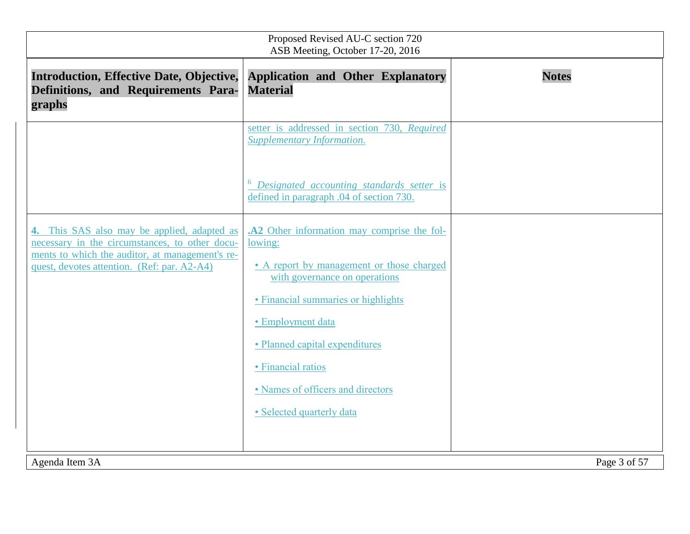| Proposed Revised AU-C section 720<br>ASB Meeting, October 17-20, 2016                                                                                                                           |                                                                                                                                                                                                                                                                                                                            |              |  |
|-------------------------------------------------------------------------------------------------------------------------------------------------------------------------------------------------|----------------------------------------------------------------------------------------------------------------------------------------------------------------------------------------------------------------------------------------------------------------------------------------------------------------------------|--------------|--|
| <b>Introduction, Effective Date, Objective,</b><br>Definitions, and Requirements Para-<br>graphs                                                                                                | <b>Application and Other Explanatory</b><br><b>Material</b>                                                                                                                                                                                                                                                                | <b>Notes</b> |  |
|                                                                                                                                                                                                 | setter is addressed in section 730, Required<br>Supplementary Information.                                                                                                                                                                                                                                                 |              |  |
|                                                                                                                                                                                                 | Designated accounting standards setter is<br>defined in paragraph .04 of section 730.                                                                                                                                                                                                                                      |              |  |
| 4. This SAS also may be applied, adapted as<br>necessary in the circumstances, to other docu-<br>ments to which the auditor, at management's re-<br>quest, devotes attention. (Ref: par. A2-A4) | .A2 Other information may comprise the fol-<br>lowing:<br>• A report by management or those charged<br>with governance on operations<br>• Financial summaries or highlights<br>· Employment data<br>• Planned capital expenditures<br>· Financial ratios<br>• Names of officers and directors<br>· Selected quarterly data |              |  |
| Agenda Item 3A                                                                                                                                                                                  |                                                                                                                                                                                                                                                                                                                            | Page 3 of 57 |  |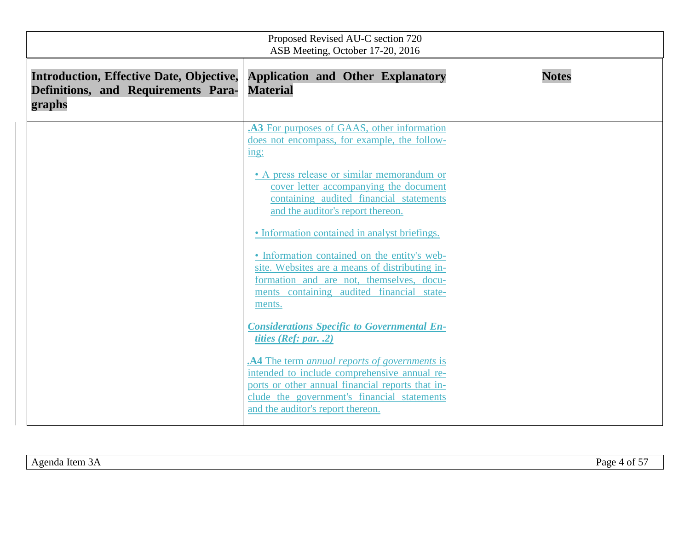| Proposed Revised AU-C section 720<br>ASB Meeting, October 17-20, 2016                            |                                                                                                                                                                                                                                                    |              |  |
|--------------------------------------------------------------------------------------------------|----------------------------------------------------------------------------------------------------------------------------------------------------------------------------------------------------------------------------------------------------|--------------|--|
| <b>Introduction, Effective Date, Objective,</b><br>Definitions, and Requirements Para-<br>graphs | <b>Application and Other Explanatory</b><br><b>Material</b>                                                                                                                                                                                        | <b>Notes</b> |  |
|                                                                                                  | .A3 For purposes of GAAS, other information<br>does not encompass, for example, the follow-<br>$\frac{\text{ing}}{\text{ing}}$                                                                                                                     |              |  |
|                                                                                                  | • A press release or similar memorandum or<br>cover letter accompanying the document<br>containing audited financial statements<br>and the auditor's report thereon.                                                                               |              |  |
|                                                                                                  | • Information contained in analyst briefings.<br>• Information contained on the entity's web-<br>site. Websites are a means of distributing in-<br>formation and are not, themselves, docu-<br>ments containing audited financial state-<br>ments. |              |  |
|                                                                                                  | <b>Considerations Specific to Governmental En-</b><br>tities ( $Ref: par. .2$ )                                                                                                                                                                    |              |  |
|                                                                                                  | .A4 The term annual reports of governments is<br>intended to include comprehensive annual re-<br>ports or other annual financial reports that in-<br>clude the government's financial statements<br>and the auditor's report thereon.              |              |  |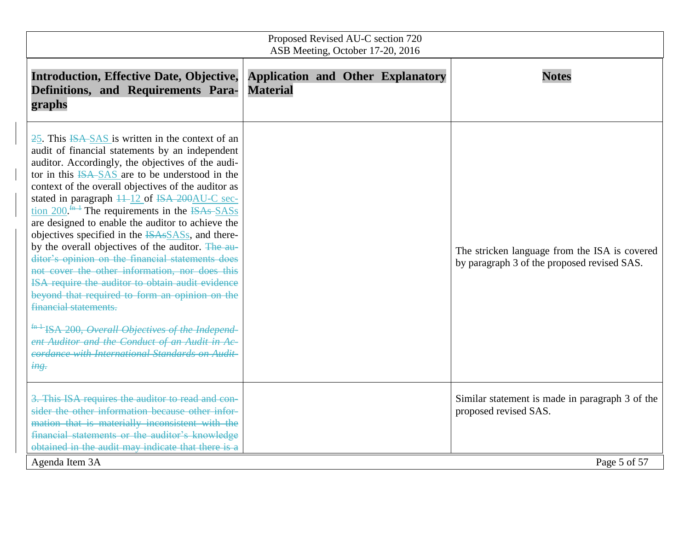| Proposed Revised AU-C section 720<br>ASB Meeting, October 17-20, 2016                                                                                                                                                                                                                                                                                                                                                                                                                                                                                                                                                                                                                                                                                                                                                                                                                                                                                                                                         |                                                             |                                                                                              |  |
|---------------------------------------------------------------------------------------------------------------------------------------------------------------------------------------------------------------------------------------------------------------------------------------------------------------------------------------------------------------------------------------------------------------------------------------------------------------------------------------------------------------------------------------------------------------------------------------------------------------------------------------------------------------------------------------------------------------------------------------------------------------------------------------------------------------------------------------------------------------------------------------------------------------------------------------------------------------------------------------------------------------|-------------------------------------------------------------|----------------------------------------------------------------------------------------------|--|
| <b>Introduction, Effective Date, Objective,</b><br>Definitions, and Requirements Para-<br>graphs                                                                                                                                                                                                                                                                                                                                                                                                                                                                                                                                                                                                                                                                                                                                                                                                                                                                                                              | <b>Application and Other Explanatory</b><br><b>Material</b> | <b>Notes</b>                                                                                 |  |
| 25. This ISA-SAS is written in the context of an<br>audit of financial statements by an independent<br>auditor. Accordingly, the objectives of the audi-<br>tor in this ISA-SAS are to be understood in the<br>context of the overall objectives of the auditor as<br>stated in paragraph $\frac{11-12}{2}$ of ISA 200AU-C sec-<br>tion $200 \frac{\text{fm}+1}{\text{m}}$ The requirements in the ISAs SASs<br>are designed to enable the auditor to achieve the<br>objectives specified in the <b>ISAsSASs</b> , and there-<br>by the overall objectives of the auditor. The au-<br>ditor's opinion on the financial statements does<br>not cover the other information, nor does this<br>ISA require the auditor to obtain audit evidence<br>beyond that required to form an opinion on the<br>financial statements.<br><sup>fn 1</sup> ISA 200, Overall Objectives of the Independ-<br>ent Auditor and the Conduct of an Audit in Ac-<br>cordance with International Standards on Audit-<br>$\frac{mg}{}$ |                                                             | The stricken language from the ISA is covered<br>by paragraph 3 of the proposed revised SAS. |  |
| 3. This ISA requires the auditor to read and con-<br>sider the other information because other infor-<br>mation that is materially inconsistent with the<br>financial statements or the auditor's knowledge                                                                                                                                                                                                                                                                                                                                                                                                                                                                                                                                                                                                                                                                                                                                                                                                   |                                                             | Similar statement is made in paragraph 3 of the<br>proposed revised SAS.                     |  |
| obtained in the audit may indicate that there is a<br>Agenda Item 3A                                                                                                                                                                                                                                                                                                                                                                                                                                                                                                                                                                                                                                                                                                                                                                                                                                                                                                                                          |                                                             | Page 5 of 57                                                                                 |  |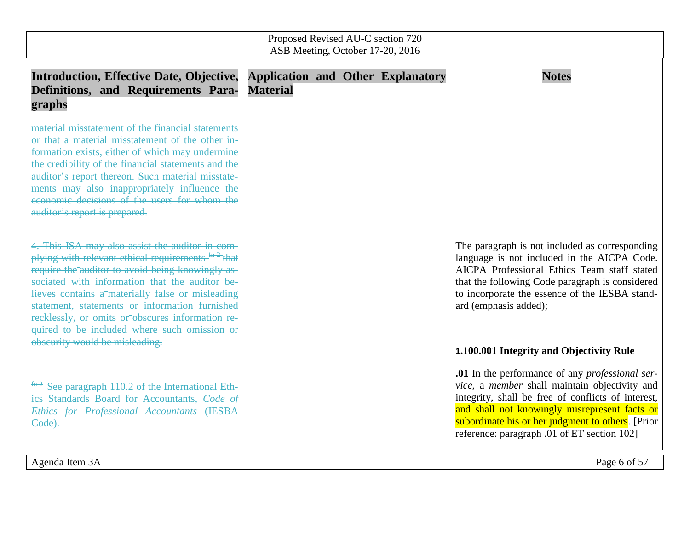| Proposed Revised AU-C section 720<br>ASB Meeting, October 17-20, 2016                                                                                                                                                                                                                                                                                                                                                             |                                                             |                                                                                                                                                                                                                                                                                                                    |  |
|-----------------------------------------------------------------------------------------------------------------------------------------------------------------------------------------------------------------------------------------------------------------------------------------------------------------------------------------------------------------------------------------------------------------------------------|-------------------------------------------------------------|--------------------------------------------------------------------------------------------------------------------------------------------------------------------------------------------------------------------------------------------------------------------------------------------------------------------|--|
| <b>Introduction, Effective Date, Objective,</b><br>Definitions, and Requirements Para-<br>graphs                                                                                                                                                                                                                                                                                                                                  | <b>Application and Other Explanatory</b><br><b>Material</b> | <b>Notes</b>                                                                                                                                                                                                                                                                                                       |  |
| material misstatement of the financial statements<br>or that a material misstatement of the other in-<br>formation exists, either of which may undermine<br>the credibility of the financial statements and the<br>auditor's report thereon. Such material misstate-<br>ments may also inappropriately influence the<br>economic decisions of the users for whom the<br>auditor's report is prepared.                             |                                                             |                                                                                                                                                                                                                                                                                                                    |  |
| 4. This ISA may also assist the auditor in com-<br>plying with relevant ethical requirements <sup>fn 2</sup> that<br>require the auditor to avoid being knowingly as-<br>sociated with information that the auditor be-<br>lieves contains a materially false or misleading<br>statement, statements or information furnished<br>recklessly, or omits or obscures information re-<br>quired to be included where such omission or |                                                             | The paragraph is not included as corresponding<br>language is not included in the AICPA Code.<br>AICPA Professional Ethics Team staff stated<br>that the following Code paragraph is considered<br>to incorporate the essence of the IESBA stand-<br>ard (emphasis added);                                         |  |
| obscurity would be misleading.                                                                                                                                                                                                                                                                                                                                                                                                    |                                                             | 1.100.001 Integrity and Objectivity Rule                                                                                                                                                                                                                                                                           |  |
| $\frac{fn-2}{fn-2}$ See paragraph 110.2 of the International Eth-<br>ics Standards Board for Accountants, Code of<br><b>Ethics for Professional Accountants (IESBA</b><br>Code).                                                                                                                                                                                                                                                  |                                                             | .01 In the performance of any <i>professional ser-</i><br>vice, a member shall maintain objectivity and<br>integrity, shall be free of conflicts of interest,<br>and shall not knowingly misrepresent facts or<br>subordinate his or her judgment to others. [Prior<br>reference: paragraph .01 of ET section 102] |  |
| Agenda Item 3A<br>Page 6 of 57                                                                                                                                                                                                                                                                                                                                                                                                    |                                                             |                                                                                                                                                                                                                                                                                                                    |  |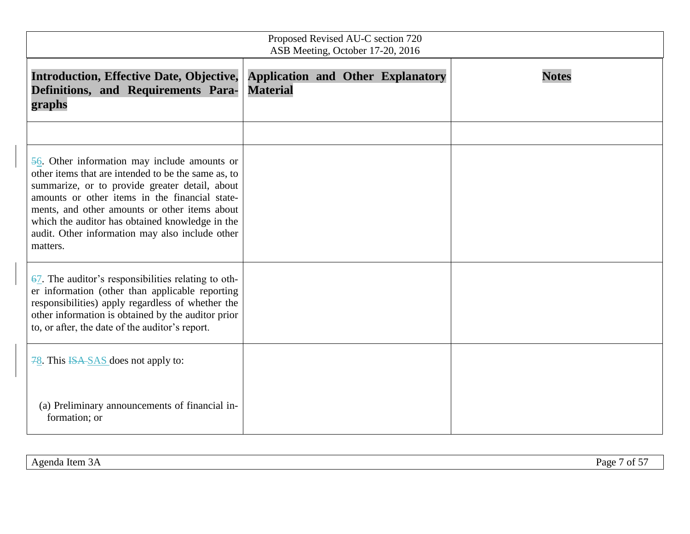| Proposed Revised AU-C section 720<br>ASB Meeting, October 17-20, 2016                                                                                                                                                                                                                                                                                                                   |                                                             |              |  |
|-----------------------------------------------------------------------------------------------------------------------------------------------------------------------------------------------------------------------------------------------------------------------------------------------------------------------------------------------------------------------------------------|-------------------------------------------------------------|--------------|--|
| <b>Introduction, Effective Date, Objective,</b><br>Definitions, and Requirements Para-<br>graphs                                                                                                                                                                                                                                                                                        | <b>Application and Other Explanatory</b><br><b>Material</b> | <b>Notes</b> |  |
| $\frac{56}{6}$ . Other information may include amounts or<br>other items that are intended to be the same as, to<br>summarize, or to provide greater detail, about<br>amounts or other items in the financial state-<br>ments, and other amounts or other items about<br>which the auditor has obtained knowledge in the<br>audit. Other information may also include other<br>matters. |                                                             |              |  |
| $\overline{67}$ . The auditor's responsibilities relating to oth-<br>er information (other than applicable reporting<br>responsibilities) apply regardless of whether the<br>other information is obtained by the auditor prior<br>to, or after, the date of the auditor's report.                                                                                                      |                                                             |              |  |
| $\frac{78}{10}$ . This ISA-SAS does not apply to:<br>(a) Preliminary announcements of financial in-<br>formation; or                                                                                                                                                                                                                                                                    |                                                             |              |  |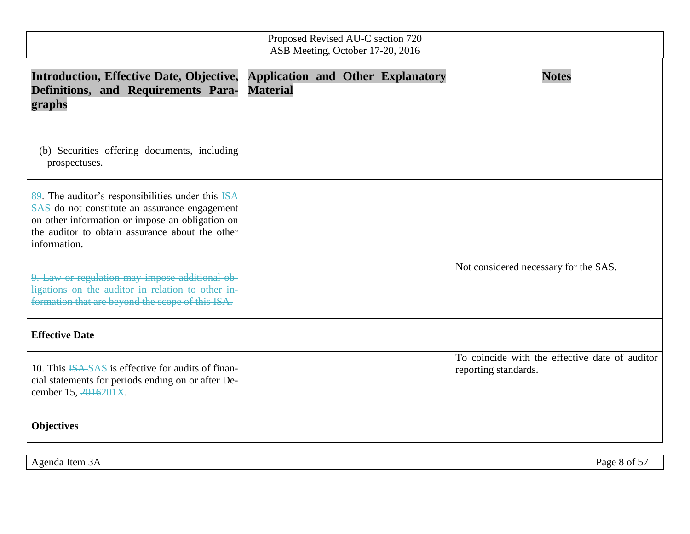| Proposed Revised AU-C section 720<br>ASB Meeting, October 17-20, 2016                                                                                                                                                                 |                                                             |  |  |                                                                        |
|---------------------------------------------------------------------------------------------------------------------------------------------------------------------------------------------------------------------------------------|-------------------------------------------------------------|--|--|------------------------------------------------------------------------|
| <b>Introduction, Effective Date, Objective,</b><br>Definitions, and Requirements Para-<br>graphs                                                                                                                                      | <b>Application and Other Explanatory</b><br><b>Material</b> |  |  | <b>Notes</b>                                                           |
| (b) Securities offering documents, including<br>prospectuses.                                                                                                                                                                         |                                                             |  |  |                                                                        |
| $\frac{89}{2}$ . The auditor's responsibilities under this ISA<br>SAS do not constitute an assurance engagement<br>on other information or impose an obligation on<br>the auditor to obtain assurance about the other<br>information. |                                                             |  |  |                                                                        |
| 9. Law or regulation may impose additional ob-<br>ligations on the auditor in relation to other in-<br>formation that are beyond the scope of this ISA.                                                                               |                                                             |  |  | Not considered necessary for the SAS.                                  |
| <b>Effective Date</b>                                                                                                                                                                                                                 |                                                             |  |  |                                                                        |
| 10. This ISA SAS is effective for audits of finan-<br>cial statements for periods ending on or after De-<br>cember 15, 2016201X.                                                                                                      |                                                             |  |  | To coincide with the effective date of auditor<br>reporting standards. |
| <b>Objectives</b>                                                                                                                                                                                                                     |                                                             |  |  |                                                                        |

Agenda Item 3A Page 8 of 57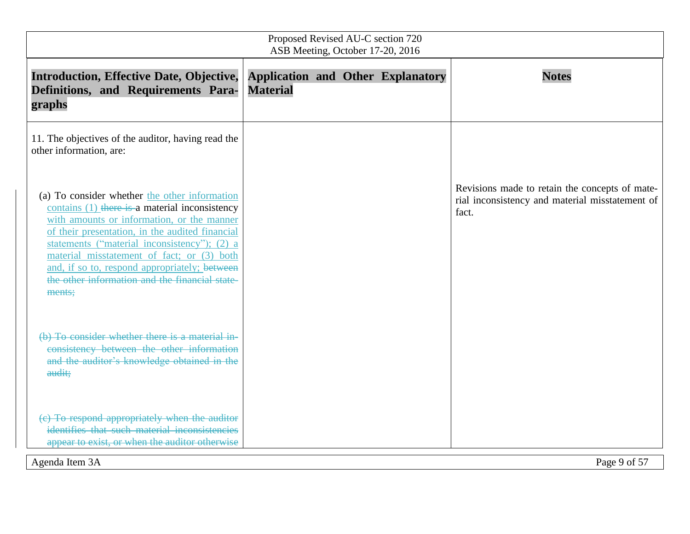| Proposed Revised AU-C section 720<br>ASB Meeting, October 17-20, 2016                                                                                                                                                                                                                                                                                                                                       |                                                             |                                                                                                            |  |
|-------------------------------------------------------------------------------------------------------------------------------------------------------------------------------------------------------------------------------------------------------------------------------------------------------------------------------------------------------------------------------------------------------------|-------------------------------------------------------------|------------------------------------------------------------------------------------------------------------|--|
| <b>Introduction, Effective Date, Objective,</b><br>Definitions, and Requirements Para-<br>graphs                                                                                                                                                                                                                                                                                                            | <b>Application and Other Explanatory</b><br><b>Material</b> | <b>Notes</b>                                                                                               |  |
| 11. The objectives of the auditor, having read the<br>other information, are:                                                                                                                                                                                                                                                                                                                               |                                                             |                                                                                                            |  |
| (a) To consider whether the other information<br>contains (1) there is a material inconsistency<br>with amounts or information, or the manner<br>of their presentation, in the audited financial<br>statements ("material inconsistency"); (2) a<br>material misstatement of fact; or (3) both<br>and, if so to, respond appropriately; between<br>the other information and the financial state-<br>ments; |                                                             | Revisions made to retain the concepts of mate-<br>rial inconsistency and material misstatement of<br>fact. |  |
| (b) To consider whether there is a material in-<br>consistency between the other information<br>and the auditor's knowledge obtained in the<br>audit;                                                                                                                                                                                                                                                       |                                                             |                                                                                                            |  |
| (c) To respond appropriately when the auditor<br>identifies that such material inconsistencies<br>appear to exist, or when the auditor otherwise                                                                                                                                                                                                                                                            |                                                             |                                                                                                            |  |
| Agenda Item 3A                                                                                                                                                                                                                                                                                                                                                                                              |                                                             | Page 9 of 57                                                                                               |  |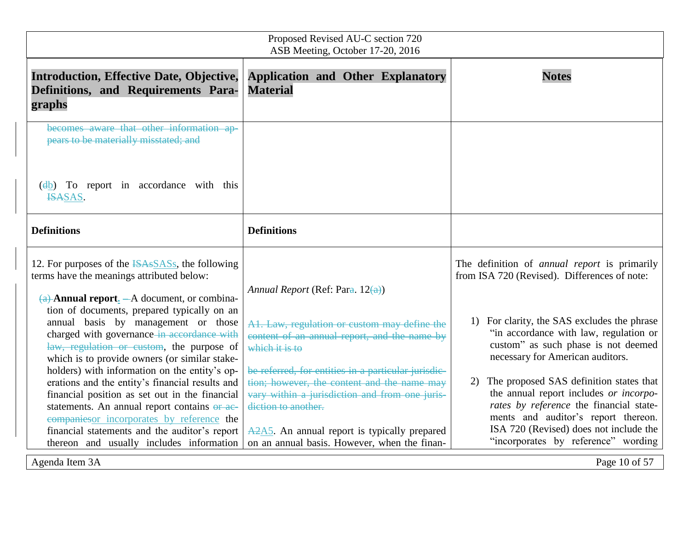| Proposed Revised AU-C section 720<br>ASB Meeting, October 17-20, 2016                                                                                                                                                                                                                                                                                                                                                                   |                                                                                                                                                                                                                                                                                                                                                                                                                                                                                                                                                                                                                                                                                          |  |  |
|-----------------------------------------------------------------------------------------------------------------------------------------------------------------------------------------------------------------------------------------------------------------------------------------------------------------------------------------------------------------------------------------------------------------------------------------|------------------------------------------------------------------------------------------------------------------------------------------------------------------------------------------------------------------------------------------------------------------------------------------------------------------------------------------------------------------------------------------------------------------------------------------------------------------------------------------------------------------------------------------------------------------------------------------------------------------------------------------------------------------------------------------|--|--|
| <b>Application and Other Explanatory</b><br><b>Material</b>                                                                                                                                                                                                                                                                                                                                                                             | <b>Notes</b>                                                                                                                                                                                                                                                                                                                                                                                                                                                                                                                                                                                                                                                                             |  |  |
|                                                                                                                                                                                                                                                                                                                                                                                                                                         |                                                                                                                                                                                                                                                                                                                                                                                                                                                                                                                                                                                                                                                                                          |  |  |
| <b>Definitions</b>                                                                                                                                                                                                                                                                                                                                                                                                                      |                                                                                                                                                                                                                                                                                                                                                                                                                                                                                                                                                                                                                                                                                          |  |  |
| Annual Report (Ref: Para. $12(a)$ )<br>A1. Law, regulation or custom may define the<br>content of an annual report, and the name by<br>which it is to<br>be referred, for entities in a particular jurisdic-<br>tion; however, the content and the name may<br>vary within a jurisdiction and from one juris-<br>diction to another.<br>$A2A5$ . An annual report is typically prepared<br>on an annual basis. However, when the finan- | The definition of <i>annual report</i> is primarily<br>from ISA 720 (Revised). Differences of note:<br>1) For clarity, the SAS excludes the phrase<br>"in accordance with law, regulation or<br>custom" as such phase is not deemed<br>necessary for American auditors.<br>The proposed SAS definition states that<br>2)<br>the annual report includes or incorpo-<br>rates by reference the financial state-<br>ments and auditor's report thereon.<br>ISA 720 (Revised) does not include the<br>"incorporates by reference" wording                                                                                                                                                    |  |  |
| becomes aware that other information ap-<br>law, regulation or custom, the purpose of<br>holders) with information on the entity's op-<br>erations and the entity's financial results and                                                                                                                                                                                                                                               | <b>Introduction, Effective Date, Objective,</b><br>Definitions, and Requirements Para-<br>$\frac{d}{d}$ To report in accordance with this<br>12. For purposes of the <b>ISAsSASs</b> , the following<br>$(a)$ Annual report. $-A$ document, or combina-<br>tion of documents, prepared typically on an<br>annual basis by management or those<br>charged with governance in accordance with<br>which is to provide owners (or similar stake-<br>financial position as set out in the financial<br>statements. An annual report contains or ac-<br>companiesor incorporates by reference the<br>financial statements and the auditor's report<br>thereon and usually includes information |  |  |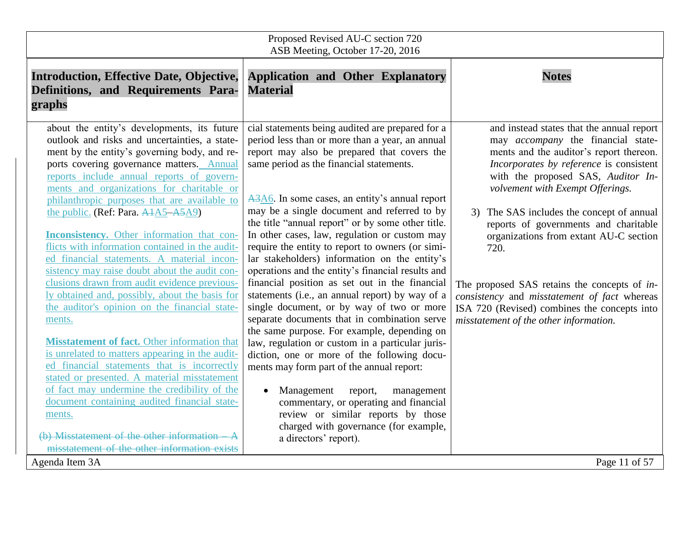| Proposed Revised AU-C section 720<br>ASB Meeting, October 17-20, 2016                                                                                                                                                                                                                                                                                                                                                                                                                                                                                                                                                                                                                                                                                                                                                                                                                                                                                                                                                                                                                                                                                    |                                                                                                                                                                                                                                                                                                                                                                                                                                                                                                                                                                                                                                                                                                                                                                                                                                                                                                                                                                                                                                                                                                                                                                        |                                                                                                                                                                                                                                                                                                                                                                                                                                                                                                                                                                                          |  |
|----------------------------------------------------------------------------------------------------------------------------------------------------------------------------------------------------------------------------------------------------------------------------------------------------------------------------------------------------------------------------------------------------------------------------------------------------------------------------------------------------------------------------------------------------------------------------------------------------------------------------------------------------------------------------------------------------------------------------------------------------------------------------------------------------------------------------------------------------------------------------------------------------------------------------------------------------------------------------------------------------------------------------------------------------------------------------------------------------------------------------------------------------------|------------------------------------------------------------------------------------------------------------------------------------------------------------------------------------------------------------------------------------------------------------------------------------------------------------------------------------------------------------------------------------------------------------------------------------------------------------------------------------------------------------------------------------------------------------------------------------------------------------------------------------------------------------------------------------------------------------------------------------------------------------------------------------------------------------------------------------------------------------------------------------------------------------------------------------------------------------------------------------------------------------------------------------------------------------------------------------------------------------------------------------------------------------------------|------------------------------------------------------------------------------------------------------------------------------------------------------------------------------------------------------------------------------------------------------------------------------------------------------------------------------------------------------------------------------------------------------------------------------------------------------------------------------------------------------------------------------------------------------------------------------------------|--|
| <b>Introduction, Effective Date, Objective,</b><br>Definitions, and Requirements Para-<br>graphs                                                                                                                                                                                                                                                                                                                                                                                                                                                                                                                                                                                                                                                                                                                                                                                                                                                                                                                                                                                                                                                         | <b>Application and Other Explanatory</b><br><b>Material</b>                                                                                                                                                                                                                                                                                                                                                                                                                                                                                                                                                                                                                                                                                                                                                                                                                                                                                                                                                                                                                                                                                                            | <b>Notes</b>                                                                                                                                                                                                                                                                                                                                                                                                                                                                                                                                                                             |  |
| about the entity's developments, its future<br>outlook and risks and uncertainties, a state-<br>ment by the entity's governing body, and re-<br>ports covering governance matters. Annual<br>reports include annual reports of govern-<br>ments and organizations for charitable or<br>philanthropic purposes that are available to<br>the public. (Ref: Para. A4A5–A5A9)<br><b>Inconsistency.</b> Other information that con-<br>flicts with information contained in the audit-<br>ed financial statements. A material incon-<br>sistency may raise doubt about the audit con-<br>clusions drawn from audit evidence previous-<br>ly obtained and, possibly, about the basis for<br>the auditor's opinion on the financial state-<br>ments.<br>Misstatement of fact. Other information that<br>is unrelated to matters appearing in the audit-<br>ed financial statements that is incorrectly<br>stated or presented. A material misstatement<br>of fact may undermine the credibility of the<br>document containing audited financial state-<br>ments.<br>(b) Misstatement of the other information A<br>misstatement of the other information exists | cial statements being audited are prepared for a<br>period less than or more than a year, an annual<br>report may also be prepared that covers the<br>same period as the financial statements.<br>A3A6. In some cases, an entity's annual report<br>may be a single document and referred to by<br>the title "annual report" or by some other title.<br>In other cases, law, regulation or custom may<br>require the entity to report to owners (or simi-<br>lar stakeholders) information on the entity's<br>operations and the entity's financial results and<br>financial position as set out in the financial<br>statements (i.e., an annual report) by way of a<br>single document, or by way of two or more<br>separate documents that in combination serve<br>the same purpose. For example, depending on<br>law, regulation or custom in a particular juris-<br>diction, one or more of the following docu-<br>ments may form part of the annual report:<br>Management<br>report,<br>management<br>$\bullet$<br>commentary, or operating and financial<br>review or similar reports by those<br>charged with governance (for example,<br>a directors' report). | and instead states that the annual report<br>may <i>accompany</i> the financial state-<br>ments and the auditor's report thereon.<br>Incorporates by reference is consistent<br>with the proposed SAS, Auditor In-<br>volvement with Exempt Offerings.<br>3) The SAS includes the concept of annual<br>reports of governments and charitable<br>organizations from extant AU-C section<br>720.<br>The proposed SAS retains the concepts of in-<br>consistency and misstatement of fact whereas<br>ISA 720 (Revised) combines the concepts into<br>misstatement of the other information. |  |
| Agenda Item 3A                                                                                                                                                                                                                                                                                                                                                                                                                                                                                                                                                                                                                                                                                                                                                                                                                                                                                                                                                                                                                                                                                                                                           |                                                                                                                                                                                                                                                                                                                                                                                                                                                                                                                                                                                                                                                                                                                                                                                                                                                                                                                                                                                                                                                                                                                                                                        | Page 11 of 57                                                                                                                                                                                                                                                                                                                                                                                                                                                                                                                                                                            |  |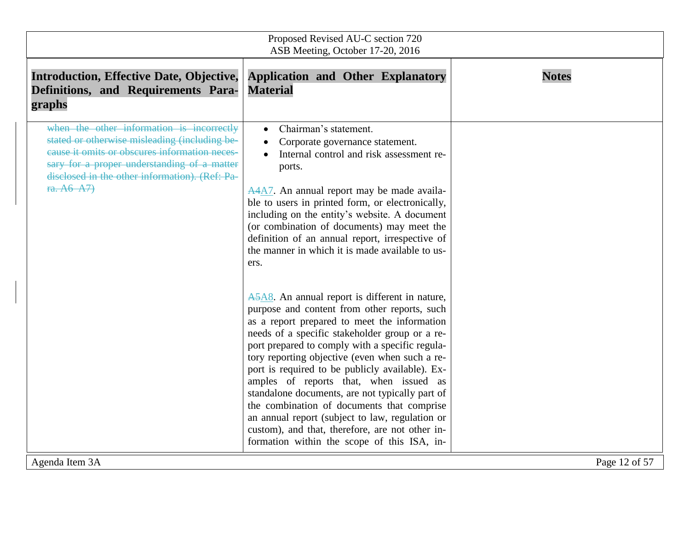| Proposed Revised AU-C section 720<br>ASB Meeting, October 17-20, 2016                                                                                                                                                                                      |                                                                                                                                                                                                                                                                                                                                                                                                                                                                                                                                                                                                                                                                                                                                                                                                                                                                                                                                                                                                                                                         |               |  |
|------------------------------------------------------------------------------------------------------------------------------------------------------------------------------------------------------------------------------------------------------------|---------------------------------------------------------------------------------------------------------------------------------------------------------------------------------------------------------------------------------------------------------------------------------------------------------------------------------------------------------------------------------------------------------------------------------------------------------------------------------------------------------------------------------------------------------------------------------------------------------------------------------------------------------------------------------------------------------------------------------------------------------------------------------------------------------------------------------------------------------------------------------------------------------------------------------------------------------------------------------------------------------------------------------------------------------|---------------|--|
| <b>Introduction, Effective Date, Objective,</b><br>Definitions, and Requirements Para-<br>graphs                                                                                                                                                           | <b>Application and Other Explanatory</b><br><b>Material</b>                                                                                                                                                                                                                                                                                                                                                                                                                                                                                                                                                                                                                                                                                                                                                                                                                                                                                                                                                                                             | <b>Notes</b>  |  |
| when the other information is incorrectly<br>stated or otherwise misleading (including be-<br>eause it omits or obscures information neces-<br>sary for a proper understanding of a matter<br>disclosed in the other information). (Ref: Pa-<br>ra. A6-A7) | Chairman's statement.<br>$\bullet$<br>Corporate governance statement.<br>Internal control and risk assessment re-<br>ports.<br>A4A7. An annual report may be made availa-<br>ble to users in printed form, or electronically,<br>including on the entity's website. A document<br>(or combination of documents) may meet the<br>definition of an annual report, irrespective of<br>the manner in which it is made available to us-<br>ers.<br>A5A8. An annual report is different in nature,<br>purpose and content from other reports, such<br>as a report prepared to meet the information<br>needs of a specific stakeholder group or a re-<br>port prepared to comply with a specific regula-<br>tory reporting objective (even when such a re-<br>port is required to be publicly available). Ex-<br>amples of reports that, when issued as<br>standalone documents, are not typically part of<br>the combination of documents that comprise<br>an annual report (subject to law, regulation or<br>custom), and that, therefore, are not other in- |               |  |
| Agenda Item 3A                                                                                                                                                                                                                                             | formation within the scope of this ISA, in-                                                                                                                                                                                                                                                                                                                                                                                                                                                                                                                                                                                                                                                                                                                                                                                                                                                                                                                                                                                                             | Page 12 of 57 |  |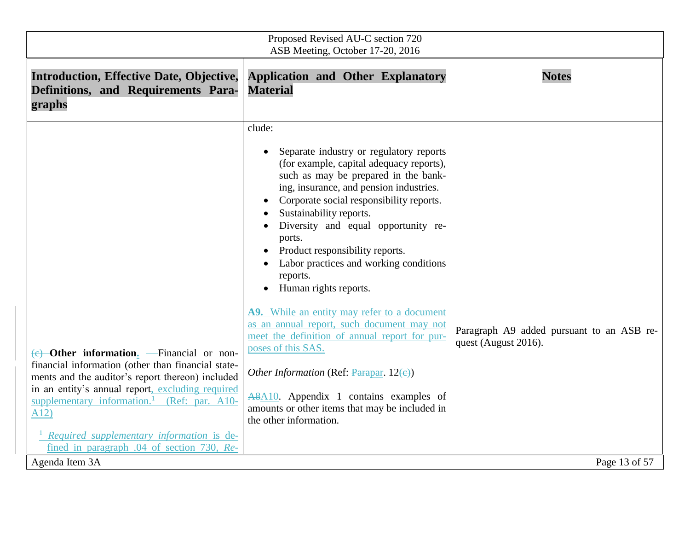| Proposed Revised AU-C section 720<br>ASB Meeting, October 17-20, 2016                                                                                                                                                                                                                                                                                                                                               |                                                                                                                                                                                                                                                                                                                                                                                                                                                                                                                                                                                                                                                                                                                                                                                                       |                                                                                    |
|---------------------------------------------------------------------------------------------------------------------------------------------------------------------------------------------------------------------------------------------------------------------------------------------------------------------------------------------------------------------------------------------------------------------|-------------------------------------------------------------------------------------------------------------------------------------------------------------------------------------------------------------------------------------------------------------------------------------------------------------------------------------------------------------------------------------------------------------------------------------------------------------------------------------------------------------------------------------------------------------------------------------------------------------------------------------------------------------------------------------------------------------------------------------------------------------------------------------------------------|------------------------------------------------------------------------------------|
| <b>Introduction, Effective Date, Objective,</b><br>Definitions, and Requirements Para-<br>graphs                                                                                                                                                                                                                                                                                                                    | <b>Application and Other Explanatory</b><br><b>Material</b>                                                                                                                                                                                                                                                                                                                                                                                                                                                                                                                                                                                                                                                                                                                                           | <b>Notes</b>                                                                       |
| $\overline{(e)}$ -Other information <sub>2</sub> -- Financial or non-<br>financial information (other than financial state-<br>ments and the auditor's report thereon) included<br>in an entity's annual report, excluding required<br>supplementary information. <sup>1</sup> (Ref: par. A10-<br>A12)<br>Required supplementary information is de-<br>fined in paragraph .04 of section 730, Re-<br>Agenda Item 3A | clude:<br>Separate industry or regulatory reports<br>(for example, capital adequacy reports),<br>such as may be prepared in the bank-<br>ing, insurance, and pension industries.<br>Corporate social responsibility reports.<br>Sustainability reports.<br>Diversity and equal opportunity re-<br>ports.<br>Product responsibility reports.<br>Labor practices and working conditions<br>reports.<br>Human rights reports.<br>A9. While an entity may refer to a document<br>as an annual report, such document may not<br>meet the definition of annual report for pur-<br>poses of this SAS.<br><i>Other Information</i> (Ref: $\frac{ \text{Param}}{ \text{Param}}$ , 12(e))<br>A8A10. Appendix 1 contains examples of<br>amounts or other items that may be included in<br>the other information. | Paragraph A9 added pursuant to an ASB re-<br>quest (August 2016).<br>Page 13 of 57 |
|                                                                                                                                                                                                                                                                                                                                                                                                                     |                                                                                                                                                                                                                                                                                                                                                                                                                                                                                                                                                                                                                                                                                                                                                                                                       |                                                                                    |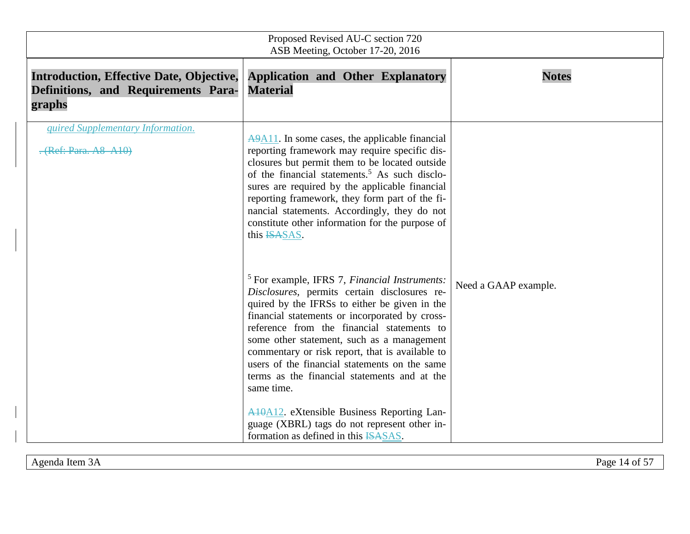| Proposed Revised AU-C section 720<br>ASB Meeting, October 17-20, 2016                            |                                                                                                                                                                                                                                                                                                                                                                                                                                                                                                                                                                                                                       |                      |
|--------------------------------------------------------------------------------------------------|-----------------------------------------------------------------------------------------------------------------------------------------------------------------------------------------------------------------------------------------------------------------------------------------------------------------------------------------------------------------------------------------------------------------------------------------------------------------------------------------------------------------------------------------------------------------------------------------------------------------------|----------------------|
| <b>Introduction, Effective Date, Objective,</b><br>Definitions, and Requirements Para-<br>graphs | <b>Application and Other Explanatory</b><br><b>Material</b>                                                                                                                                                                                                                                                                                                                                                                                                                                                                                                                                                           | <b>Notes</b>         |
| quired Supplementary Information.<br>. (Ref: Para. A8 A10)                                       | $\overline{AA411}$ . In some cases, the applicable financial<br>reporting framework may require specific dis-<br>closures but permit them to be located outside<br>of the financial statements. <sup>5</sup> As such disclo-<br>sures are required by the applicable financial<br>reporting framework, they form part of the fi-<br>nancial statements. Accordingly, they do not<br>constitute other information for the purpose of<br>this ISASAS.                                                                                                                                                                   |                      |
|                                                                                                  | $5$ For example, IFRS 7, <i>Financial Instruments</i> :<br>Disclosures, permits certain disclosures re-<br>quired by the IFRSs to either be given in the<br>financial statements or incorporated by cross-<br>reference from the financial statements to<br>some other statement, such as a management<br>commentary or risk report, that is available to<br>users of the financial statements on the same<br>terms as the financial statements and at the<br>same time.<br><b>A10A12.</b> eXtensible Business Reporting Lan-<br>guage (XBRL) tags do not represent other in-<br>formation as defined in this ISASAS. | Need a GAAP example. |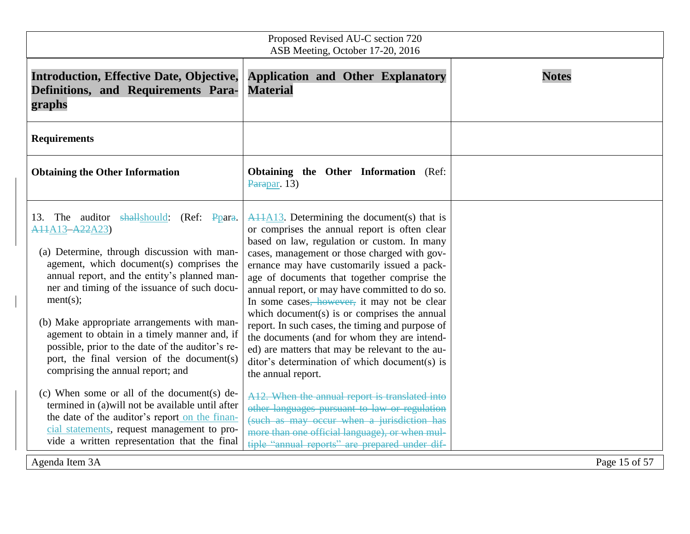| Proposed Revised AU-C section 720<br>ASB Meeting, October 17-20, 2016                                                                                                                                                                                                                                                                                                                                                                                                                                                                                                                                                                                            |                                                                                                                                                                                                                                                                                                                                                                                                                                                                                                                                                                                                                                                                                                                                                                                |               |
|------------------------------------------------------------------------------------------------------------------------------------------------------------------------------------------------------------------------------------------------------------------------------------------------------------------------------------------------------------------------------------------------------------------------------------------------------------------------------------------------------------------------------------------------------------------------------------------------------------------------------------------------------------------|--------------------------------------------------------------------------------------------------------------------------------------------------------------------------------------------------------------------------------------------------------------------------------------------------------------------------------------------------------------------------------------------------------------------------------------------------------------------------------------------------------------------------------------------------------------------------------------------------------------------------------------------------------------------------------------------------------------------------------------------------------------------------------|---------------|
| <b>Introduction, Effective Date, Objective,</b><br>Definitions, and Requirements Para-<br>graphs                                                                                                                                                                                                                                                                                                                                                                                                                                                                                                                                                                 | <b>Application and Other Explanatory</b><br><b>Material</b>                                                                                                                                                                                                                                                                                                                                                                                                                                                                                                                                                                                                                                                                                                                    | <b>Notes</b>  |
| <b>Requirements</b>                                                                                                                                                                                                                                                                                                                                                                                                                                                                                                                                                                                                                                              |                                                                                                                                                                                                                                                                                                                                                                                                                                                                                                                                                                                                                                                                                                                                                                                |               |
| <b>Obtaining the Other Information</b>                                                                                                                                                                                                                                                                                                                                                                                                                                                                                                                                                                                                                           | Obtaining the Other Information (Ref:<br>Parapar. $13$ )                                                                                                                                                                                                                                                                                                                                                                                                                                                                                                                                                                                                                                                                                                                       |               |
| 13. The auditor shallshould: (Ref: Ppara.<br>A <sub>1</sub> +A <sub>13</sub> -A <sub>22</sub> A <sub>23</sub> )<br>(a) Determine, through discussion with man-<br>agement, which document(s) comprises the<br>annual report, and the entity's planned man-<br>ner and timing of the issuance of such docu-<br>ment(s);<br>(b) Make appropriate arrangements with man-<br>agement to obtain in a timely manner and, if<br>possible, prior to the date of the auditor's re-<br>port, the final version of the document(s)<br>comprising the annual report; and<br>(c) When some or all of the document(s) de-<br>termined in (a) will not be available until after | $A11A13$ . Determining the document(s) that is<br>or comprises the annual report is often clear<br>based on law, regulation or custom. In many<br>cases, management or those charged with gov-<br>ernance may have customarily issued a pack-<br>age of documents that together comprise the<br>annual report, or may have committed to do so.<br>In some cases, however, it may not be clear<br>which document(s) is or comprises the annual<br>report. In such cases, the timing and purpose of<br>the documents (and for whom they are intend-<br>ed) are matters that may be relevant to the au-<br>ditor's determination of which document(s) is<br>the annual report.<br>A12. When the annual report is translated into<br>other languages pursuant to law or regulation |               |
| the date of the auditor's report on the finan-<br>cial statements, request management to pro-<br>vide a written representation that the final                                                                                                                                                                                                                                                                                                                                                                                                                                                                                                                    | (such as may occur when a jurisdiction has<br>more than one official language), or when mul-<br>tiple "annual reports" are prepared under dif-                                                                                                                                                                                                                                                                                                                                                                                                                                                                                                                                                                                                                                 |               |
| Agenda Item 3A                                                                                                                                                                                                                                                                                                                                                                                                                                                                                                                                                                                                                                                   |                                                                                                                                                                                                                                                                                                                                                                                                                                                                                                                                                                                                                                                                                                                                                                                | Page 15 of 57 |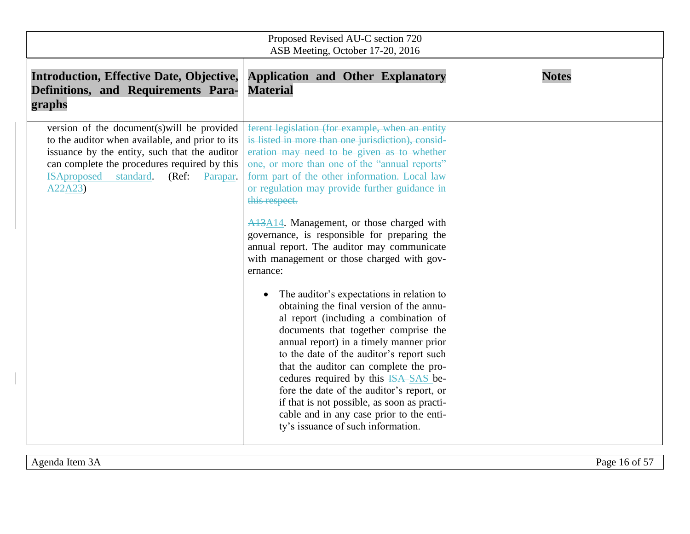| Proposed Revised AU-C section 720<br>ASB Meeting, October 17-20, 2016                                                                                                                                                                                             |                                                                                                                                                                                                                                                                                                                                                                                                                                                                                                                                                                                                                                                                                                                                                                                                                                                                                                                                                                                                                                                                                        |              |
|-------------------------------------------------------------------------------------------------------------------------------------------------------------------------------------------------------------------------------------------------------------------|----------------------------------------------------------------------------------------------------------------------------------------------------------------------------------------------------------------------------------------------------------------------------------------------------------------------------------------------------------------------------------------------------------------------------------------------------------------------------------------------------------------------------------------------------------------------------------------------------------------------------------------------------------------------------------------------------------------------------------------------------------------------------------------------------------------------------------------------------------------------------------------------------------------------------------------------------------------------------------------------------------------------------------------------------------------------------------------|--------------|
| <b>Introduction, Effective Date, Objective,</b><br>Definitions, and Requirements Para-<br>graphs                                                                                                                                                                  | <b>Application and Other Explanatory</b><br><b>Material</b>                                                                                                                                                                                                                                                                                                                                                                                                                                                                                                                                                                                                                                                                                                                                                                                                                                                                                                                                                                                                                            | <b>Notes</b> |
| version of the document(s) will be provided<br>to the auditor when available, and prior to its<br>issuance by the entity, such that the auditor<br>can complete the procedures required by this<br><b>ISAproposed</b><br>standard.<br>(Ref:<br>Parapar.<br>A22A23 | ferent legislation (for example, when an entity<br>is listed in more than one jurisdiction), consid-<br>eration may need to be given as to whether<br>one, or more than one of the "annual reports"<br>form part of the other information. Local law<br>or regulation may provide further guidance in<br>this respect.<br>A <sub>13</sub> A <sub>14</sub> . Management, or those charged with<br>governance, is responsible for preparing the<br>annual report. The auditor may communicate<br>with management or those charged with gov-<br>ernance:<br>The auditor's expectations in relation to<br>obtaining the final version of the annu-<br>al report (including a combination of<br>documents that together comprise the<br>annual report) in a timely manner prior<br>to the date of the auditor's report such<br>that the auditor can complete the pro-<br>cedures required by this ISA-SAS be-<br>fore the date of the auditor's report, or<br>if that is not possible, as soon as practi-<br>cable and in any case prior to the enti-<br>ty's issuance of such information. |              |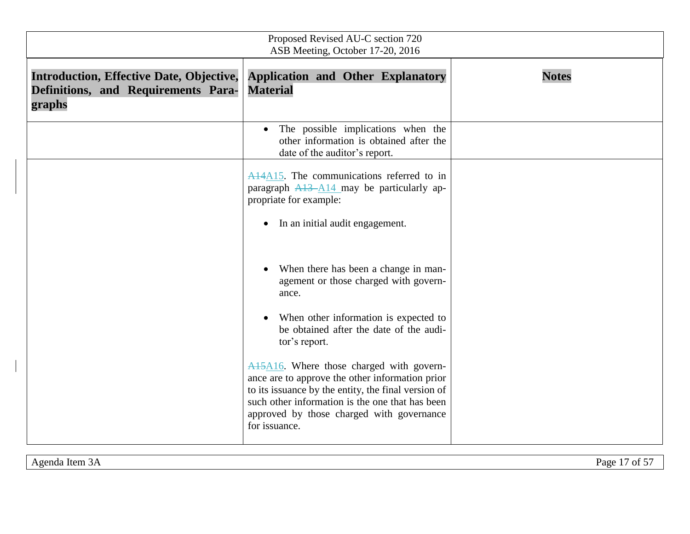| Proposed Revised AU-C section 720<br>ASB Meeting, October 17-20, 2016                            |                                                                                                                                                                                                                                                                                               |              |
|--------------------------------------------------------------------------------------------------|-----------------------------------------------------------------------------------------------------------------------------------------------------------------------------------------------------------------------------------------------------------------------------------------------|--------------|
| <b>Introduction, Effective Date, Objective,</b><br>Definitions, and Requirements Para-<br>graphs | <b>Application and Other Explanatory</b><br><b>Material</b>                                                                                                                                                                                                                                   | <b>Notes</b> |
|                                                                                                  | The possible implications when the<br>$\bullet$<br>other information is obtained after the<br>date of the auditor's report.                                                                                                                                                                   |              |
|                                                                                                  | A14A15. The communications referred to in<br>paragraph $A13 - A14$ may be particularly ap-<br>propriate for example:<br>In an initial audit engagement.<br>$\bullet$                                                                                                                          |              |
|                                                                                                  | When there has been a change in man-<br>agement or those charged with govern-<br>ance.<br>When other information is expected to<br>be obtained after the date of the audi-<br>tor's report.                                                                                                   |              |
|                                                                                                  | A <sub>15</sub> A <sub>16</sub> . Where those charged with govern-<br>ance are to approve the other information prior<br>to its issuance by the entity, the final version of<br>such other information is the one that has been<br>approved by those charged with governance<br>for issuance. |              |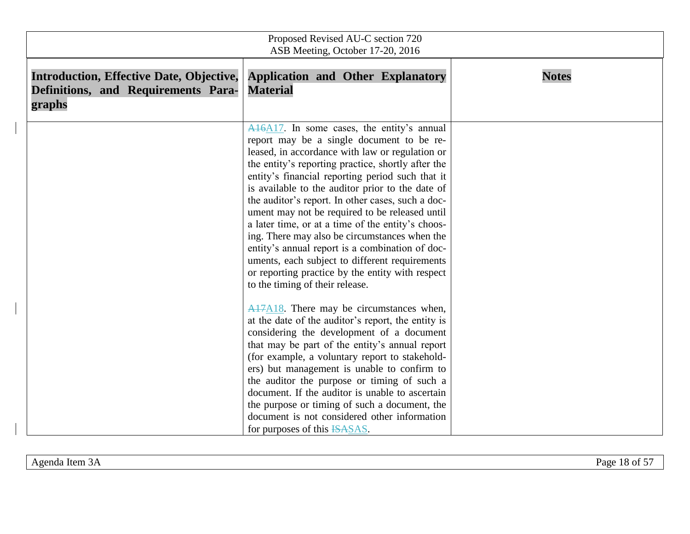| Proposed Revised AU-C section 720<br>ASB Meeting, October 17-20, 2016                            |                                                                                                                                                                                                                                                                                                                                                                                                                                                                                                                                                                                                                                                                                                                      |              |
|--------------------------------------------------------------------------------------------------|----------------------------------------------------------------------------------------------------------------------------------------------------------------------------------------------------------------------------------------------------------------------------------------------------------------------------------------------------------------------------------------------------------------------------------------------------------------------------------------------------------------------------------------------------------------------------------------------------------------------------------------------------------------------------------------------------------------------|--------------|
| <b>Introduction, Effective Date, Objective,</b><br>Definitions, and Requirements Para-<br>graphs | <b>Application and Other Explanatory</b><br><b>Material</b>                                                                                                                                                                                                                                                                                                                                                                                                                                                                                                                                                                                                                                                          | <b>Notes</b> |
|                                                                                                  | $A16A17$ . In some cases, the entity's annual<br>report may be a single document to be re-<br>leased, in accordance with law or regulation or<br>the entity's reporting practice, shortly after the<br>entity's financial reporting period such that it<br>is available to the auditor prior to the date of<br>the auditor's report. In other cases, such a doc-<br>ument may not be required to be released until<br>a later time, or at a time of the entity's choos-<br>ing. There may also be circumstances when the<br>entity's annual report is a combination of doc-<br>uments, each subject to different requirements<br>or reporting practice by the entity with respect<br>to the timing of their release. |              |
|                                                                                                  | A17A18. There may be circumstances when,<br>at the date of the auditor's report, the entity is<br>considering the development of a document<br>that may be part of the entity's annual report<br>(for example, a voluntary report to stakehold-<br>ers) but management is unable to confirm to<br>the auditor the purpose or timing of such a<br>document. If the auditor is unable to ascertain<br>the purpose or timing of such a document, the<br>document is not considered other information<br>for purposes of this ISASAS.                                                                                                                                                                                    |              |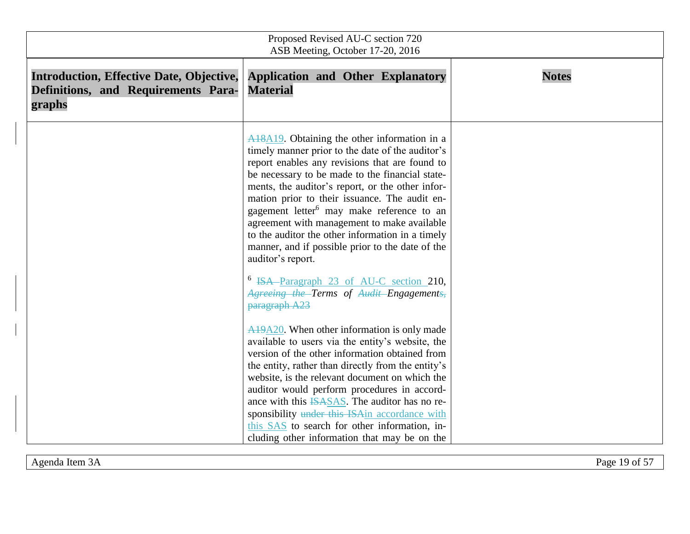| Proposed Revised AU-C section 720<br>ASB Meeting, October 17-20, 2016                            |                                                                                                                                                                                                                                                                                                                                                                                                                                                                                                                                                                                                                                                                       |              |
|--------------------------------------------------------------------------------------------------|-----------------------------------------------------------------------------------------------------------------------------------------------------------------------------------------------------------------------------------------------------------------------------------------------------------------------------------------------------------------------------------------------------------------------------------------------------------------------------------------------------------------------------------------------------------------------------------------------------------------------------------------------------------------------|--------------|
| <b>Introduction, Effective Date, Objective,</b><br>Definitions, and Requirements Para-<br>graphs | <b>Application and Other Explanatory</b><br><b>Material</b>                                                                                                                                                                                                                                                                                                                                                                                                                                                                                                                                                                                                           | <b>Notes</b> |
|                                                                                                  | $A18A19$ . Obtaining the other information in a<br>timely manner prior to the date of the auditor's<br>report enables any revisions that are found to<br>be necessary to be made to the financial state-<br>ments, the auditor's report, or the other infor-<br>mation prior to their issuance. The audit en-<br>gagement letter <sup>6</sup> may make reference to an<br>agreement with management to make available<br>to the auditor the other information in a timely<br>manner, and if possible prior to the date of the<br>auditor's report.<br><sup>6</sup> ISA-Paragraph 23 of AU-C section 210,<br>Agreeing the Terms of Audit Engagements,<br>paragraph A23 |              |
|                                                                                                  | $A19A20$ . When other information is only made<br>available to users via the entity's website, the<br>version of the other information obtained from<br>the entity, rather than directly from the entity's<br>website, is the relevant document on which the<br>auditor would perform procedures in accord-<br>ance with this <b>ISASAS</b> . The auditor has no re-<br>sponsibility under this ISAin accordance with<br>this SAS to search for other information, in-<br>cluding other information that may be on the                                                                                                                                                |              |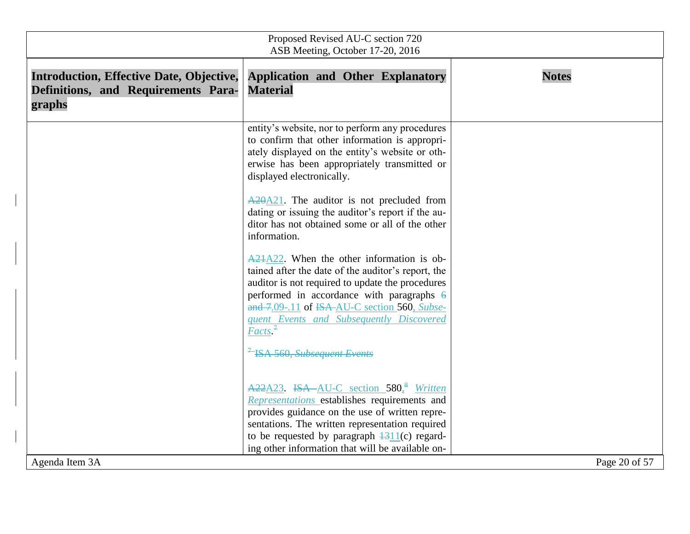| Proposed Revised AU-C section 720<br>ASB Meeting, October 17-20, 2016                            |                                                                                                                                                                                                                                                                                                                              |               |
|--------------------------------------------------------------------------------------------------|------------------------------------------------------------------------------------------------------------------------------------------------------------------------------------------------------------------------------------------------------------------------------------------------------------------------------|---------------|
| <b>Introduction, Effective Date, Objective,</b><br>Definitions, and Requirements Para-<br>graphs | <b>Application and Other Explanatory</b><br><b>Material</b>                                                                                                                                                                                                                                                                  | <b>Notes</b>  |
|                                                                                                  | entity's website, nor to perform any procedures<br>to confirm that other information is appropri-<br>ately displayed on the entity's website or oth-<br>erwise has been appropriately transmitted or<br>displayed electronically.                                                                                            |               |
|                                                                                                  | $\triangle 20\triangle 21$ . The auditor is not precluded from<br>dating or issuing the auditor's report if the au-<br>ditor has not obtained some or all of the other<br>information.                                                                                                                                       |               |
|                                                                                                  | A21A22. When the other information is ob-<br>tained after the date of the auditor's report, the<br>auditor is not required to update the procedures<br>performed in accordance with paragraphs $\theta$<br>and 7.09-.11 of ISA-AU-C section 560, Subse-<br>quent Events and Subsequently Discovered<br>Factors. <sup>7</sup> |               |
|                                                                                                  | <sup>7</sup> ISA 560, Subsequent Events                                                                                                                                                                                                                                                                                      |               |
|                                                                                                  | A22A23. ISA-AU-C section 580, <sup>8</sup> Written<br>Representations establishes requirements and<br>provides guidance on the use of written repre-<br>sentations. The written representation required<br>to be requested by paragraph $\frac{1311}{c}$ regard-<br>ing other information that will be available on-         |               |
| Agenda Item 3A                                                                                   |                                                                                                                                                                                                                                                                                                                              | Page 20 of 57 |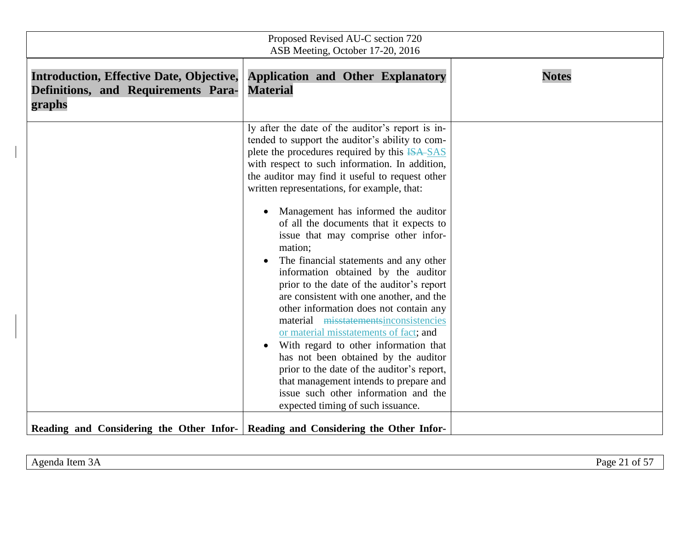| Proposed Revised AU-C section 720<br>ASB Meeting, October 17-20, 2016                            |                                                                                                                                                                                                                                                                                                                                                                                                                                                                                                                                                                                                                                                                                                                                                                                                                                                                                                                                                                                                            |              |
|--------------------------------------------------------------------------------------------------|------------------------------------------------------------------------------------------------------------------------------------------------------------------------------------------------------------------------------------------------------------------------------------------------------------------------------------------------------------------------------------------------------------------------------------------------------------------------------------------------------------------------------------------------------------------------------------------------------------------------------------------------------------------------------------------------------------------------------------------------------------------------------------------------------------------------------------------------------------------------------------------------------------------------------------------------------------------------------------------------------------|--------------|
| <b>Introduction, Effective Date, Objective,</b><br>Definitions, and Requirements Para-<br>graphs | <b>Application and Other Explanatory</b><br><b>Material</b>                                                                                                                                                                                                                                                                                                                                                                                                                                                                                                                                                                                                                                                                                                                                                                                                                                                                                                                                                | <b>Notes</b> |
|                                                                                                  | ly after the date of the auditor's report is in-<br>tended to support the auditor's ability to com-<br>plete the procedures required by this ISA-SAS<br>with respect to such information. In addition,<br>the auditor may find it useful to request other<br>written representations, for example, that:<br>Management has informed the auditor<br>of all the documents that it expects to<br>issue that may comprise other infor-<br>mation;<br>The financial statements and any other<br>information obtained by the auditor<br>prior to the date of the auditor's report<br>are consistent with one another, and the<br>other information does not contain any<br>material misstatementsinconsistencies<br>or material misstatements of fact; and<br>With regard to other information that<br>has not been obtained by the auditor<br>prior to the date of the auditor's report,<br>that management intends to prepare and<br>issue such other information and the<br>expected timing of such issuance. |              |
| Reading and Considering the Other Infor- Reading and Considering the Other Infor-                |                                                                                                                                                                                                                                                                                                                                                                                                                                                                                                                                                                                                                                                                                                                                                                                                                                                                                                                                                                                                            |              |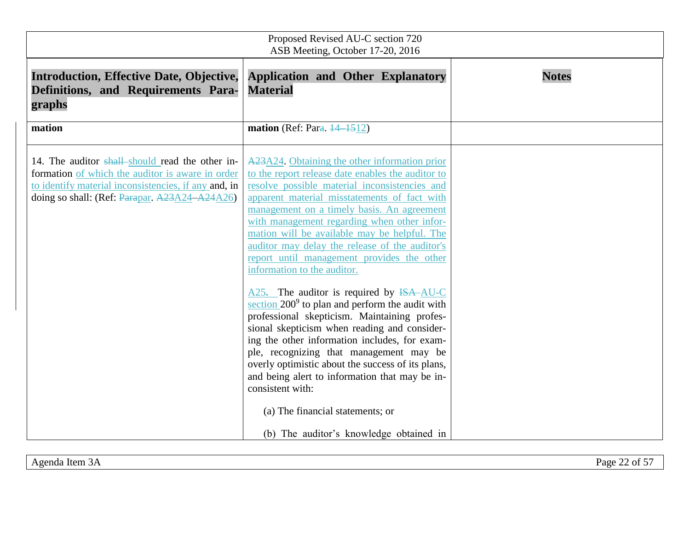| Proposed Revised AU-C section 720<br>ASB Meeting, October 17-20, 2016                                                                                                                                                  |                                                                                                                                                                                                                                                                                                                                                                                                                                                                                                                                                                                                                                                                                                                                                                                                                                                                                                                                                                    |              |
|------------------------------------------------------------------------------------------------------------------------------------------------------------------------------------------------------------------------|--------------------------------------------------------------------------------------------------------------------------------------------------------------------------------------------------------------------------------------------------------------------------------------------------------------------------------------------------------------------------------------------------------------------------------------------------------------------------------------------------------------------------------------------------------------------------------------------------------------------------------------------------------------------------------------------------------------------------------------------------------------------------------------------------------------------------------------------------------------------------------------------------------------------------------------------------------------------|--------------|
| <b>Introduction, Effective Date, Objective,</b><br>Definitions, and Requirements Para-<br>graphs                                                                                                                       | <b>Application and Other Explanatory</b><br><b>Material</b>                                                                                                                                                                                                                                                                                                                                                                                                                                                                                                                                                                                                                                                                                                                                                                                                                                                                                                        | <b>Notes</b> |
| mation<br>14. The auditor shall-should read the other in-<br>formation of which the auditor is aware in order<br>to identify material inconsistencies, if any and, in<br>doing so shall: (Ref: Parapar, A23A24-A24A26) | mation (Ref: Para. $\frac{14}{1512}$ )<br>A23A24. Obtaining the other information prior<br>to the report release date enables the auditor to<br>resolve possible material inconsistencies and<br>apparent material misstatements of fact with<br>management on a timely basis. An agreement<br>with management regarding when other infor-<br>mation will be available may be helpful. The<br>auditor may delay the release of the auditor's<br>report until management provides the other<br>information to the auditor.<br>$A25$ . The auditor is required by $\overline{ISA}$ AU-C<br>section $200^9$ to plan and perform the audit with<br>professional skepticism. Maintaining profes-<br>sional skepticism when reading and consider-<br>ing the other information includes, for exam-<br>ple, recognizing that management may be<br>overly optimistic about the success of its plans,<br>and being alert to information that may be in-<br>consistent with: |              |
|                                                                                                                                                                                                                        | (a) The financial statements; or<br>(b) The auditor's knowledge obtained in                                                                                                                                                                                                                                                                                                                                                                                                                                                                                                                                                                                                                                                                                                                                                                                                                                                                                        |              |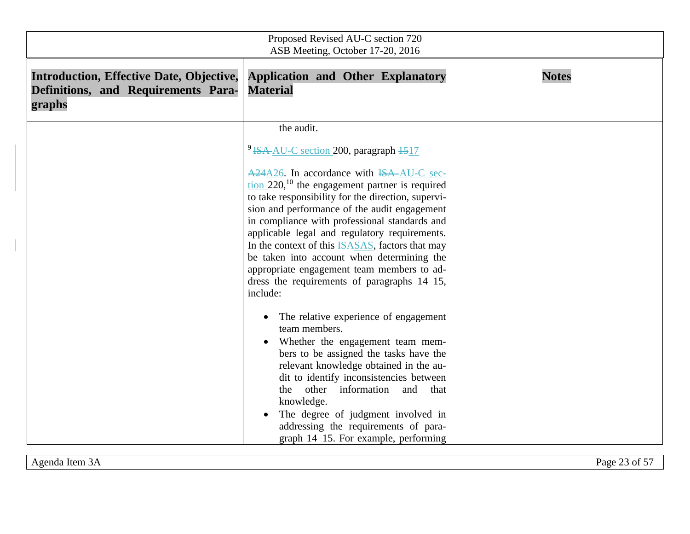| Proposed Revised AU-C section 720<br>ASB Meeting, October 17-20, 2016                            |                                                                                                                                                                                                                                                                                                                                                                                                                                                                                                                                                                                                                                                                                                                                                                                                                                                                                                                                                                                                                      |              |
|--------------------------------------------------------------------------------------------------|----------------------------------------------------------------------------------------------------------------------------------------------------------------------------------------------------------------------------------------------------------------------------------------------------------------------------------------------------------------------------------------------------------------------------------------------------------------------------------------------------------------------------------------------------------------------------------------------------------------------------------------------------------------------------------------------------------------------------------------------------------------------------------------------------------------------------------------------------------------------------------------------------------------------------------------------------------------------------------------------------------------------|--------------|
| <b>Introduction, Effective Date, Objective,</b><br>Definitions, and Requirements Para-<br>graphs | <b>Application and Other Explanatory</b><br><b>Material</b>                                                                                                                                                                                                                                                                                                                                                                                                                                                                                                                                                                                                                                                                                                                                                                                                                                                                                                                                                          | <b>Notes</b> |
|                                                                                                  | the audit.<br><sup>9</sup> ISA-AU-C section 200, paragraph 1517<br>A24A26. In accordance with ISA-AU-C sec-<br>$\frac{\text{tion } 220,^{10}}{\text{the engagement partner is required}}$<br>to take responsibility for the direction, supervi-<br>sion and performance of the audit engagement<br>in compliance with professional standards and<br>applicable legal and regulatory requirements.<br>In the context of this ISASAS, factors that may<br>be taken into account when determining the<br>appropriate engagement team members to ad-<br>dress the requirements of paragraphs 14–15,<br>include:<br>The relative experience of engagement<br>team members.<br>Whether the engagement team mem-<br>bers to be assigned the tasks have the<br>relevant knowledge obtained in the au-<br>dit to identify inconsistencies between<br>other information and<br>the<br>that<br>knowledge.<br>The degree of judgment involved in<br>addressing the requirements of para-<br>graph 14–15. For example, performing |              |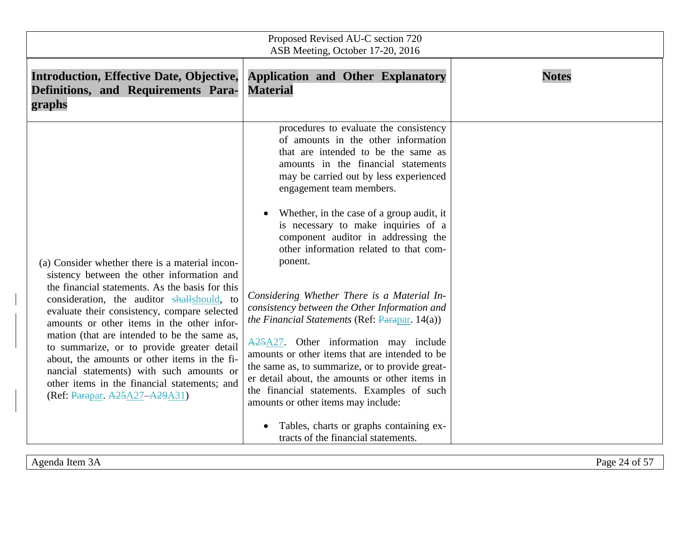| Proposed Revised AU-C section 720<br>ASB Meeting, October 17-20, 2016                                                                                                                                                                                                                                                                                                                                                                                                                                                                                                   |                                                                                                                                                                                                                                                                                                                                                                                                                                                                                                                                                                                                                                                                                                                                                                                                                                                                                                                                                     |              |
|-------------------------------------------------------------------------------------------------------------------------------------------------------------------------------------------------------------------------------------------------------------------------------------------------------------------------------------------------------------------------------------------------------------------------------------------------------------------------------------------------------------------------------------------------------------------------|-----------------------------------------------------------------------------------------------------------------------------------------------------------------------------------------------------------------------------------------------------------------------------------------------------------------------------------------------------------------------------------------------------------------------------------------------------------------------------------------------------------------------------------------------------------------------------------------------------------------------------------------------------------------------------------------------------------------------------------------------------------------------------------------------------------------------------------------------------------------------------------------------------------------------------------------------------|--------------|
| <b>Introduction, Effective Date, Objective,</b><br>Definitions, and Requirements Para-<br>graphs                                                                                                                                                                                                                                                                                                                                                                                                                                                                        | <b>Application and Other Explanatory</b><br><b>Material</b>                                                                                                                                                                                                                                                                                                                                                                                                                                                                                                                                                                                                                                                                                                                                                                                                                                                                                         | <b>Notes</b> |
| (a) Consider whether there is a material incon-<br>sistency between the other information and<br>the financial statements. As the basis for this<br>consideration, the auditor shallshould, to<br>evaluate their consistency, compare selected<br>amounts or other items in the other infor-<br>mation (that are intended to be the same as,<br>to summarize, or to provide greater detail<br>about, the amounts or other items in the fi-<br>nancial statements) with such amounts or<br>other items in the financial statements; and<br>(Ref: Parapar, A25A27-A29A31) | procedures to evaluate the consistency<br>of amounts in the other information<br>that are intended to be the same as<br>amounts in the financial statements<br>may be carried out by less experienced<br>engagement team members.<br>Whether, in the case of a group audit, it<br>is necessary to make inquiries of a<br>component auditor in addressing the<br>other information related to that com-<br>ponent.<br>Considering Whether There is a Material In-<br>consistency between the Other Information and<br>the Financial Statements (Ref: $\frac{P}{P}$ ) (Ref)<br>$A25A27$ . Other information may include<br>amounts or other items that are intended to be<br>the same as, to summarize, or to provide great-<br>er detail about, the amounts or other items in<br>the financial statements. Examples of such<br>amounts or other items may include:<br>Tables, charts or graphs containing ex-<br>tracts of the financial statements. |              |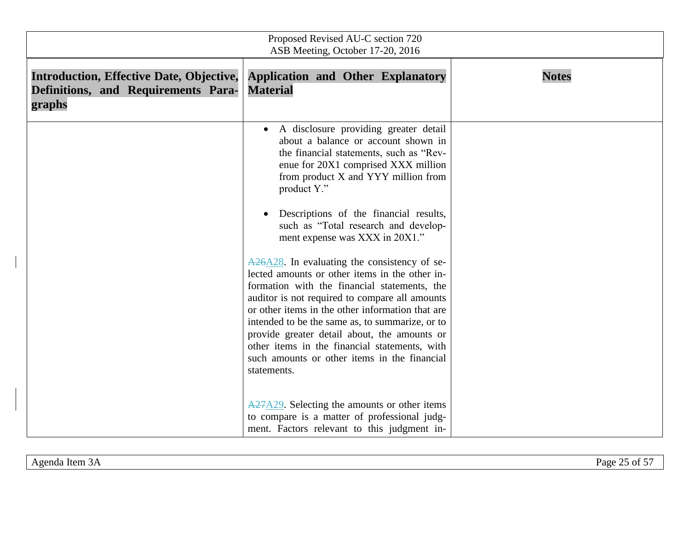| Proposed Revised AU-C section 720<br>ASB Meeting, October 17-20, 2016                            |                                                                                                                                                                                                                                                                                                                                                                                                                                                                                                                         |              |
|--------------------------------------------------------------------------------------------------|-------------------------------------------------------------------------------------------------------------------------------------------------------------------------------------------------------------------------------------------------------------------------------------------------------------------------------------------------------------------------------------------------------------------------------------------------------------------------------------------------------------------------|--------------|
| <b>Introduction, Effective Date, Objective,</b><br>Definitions, and Requirements Para-<br>graphs | <b>Application and Other Explanatory</b><br><b>Material</b>                                                                                                                                                                                                                                                                                                                                                                                                                                                             | <b>Notes</b> |
|                                                                                                  | A disclosure providing greater detail<br>$\bullet$<br>about a balance or account shown in<br>the financial statements, such as "Rev-<br>enue for 20X1 comprised XXX million<br>from product X and YYY million from<br>product Y."<br>Descriptions of the financial results,<br>such as "Total research and develop-<br>ment expense was XXX in 20X1."<br>$A26A28$ . In evaluating the consistency of se-<br>lected amounts or other items in the other in-                                                              |              |
|                                                                                                  | formation with the financial statements, the<br>auditor is not required to compare all amounts<br>or other items in the other information that are<br>intended to be the same as, to summarize, or to<br>provide greater detail about, the amounts or<br>other items in the financial statements, with<br>such amounts or other items in the financial<br>statements.<br>$A27A29$ . Selecting the amounts or other items<br>to compare is a matter of professional judg-<br>ment. Factors relevant to this judgment in- |              |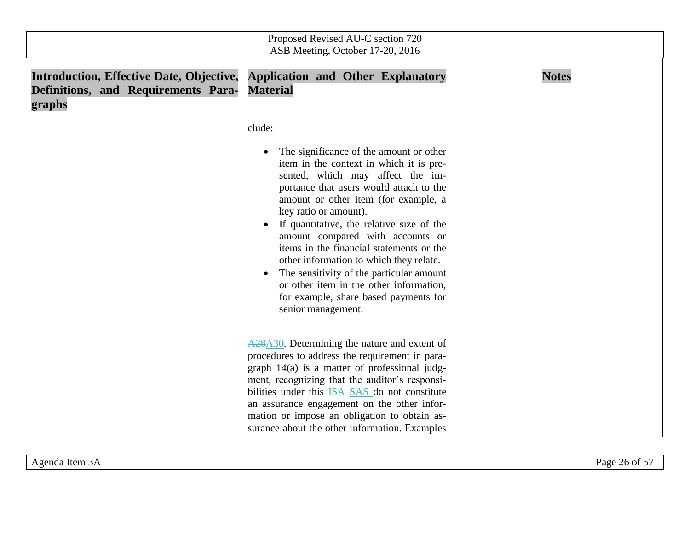| Proposed Revised AU-C section 720<br>ASB Meeting, October 17-20, 2016                            |                                                                                                                                                                                                                                                                                                                                                                                                                                                                                                                                                                                         |              |
|--------------------------------------------------------------------------------------------------|-----------------------------------------------------------------------------------------------------------------------------------------------------------------------------------------------------------------------------------------------------------------------------------------------------------------------------------------------------------------------------------------------------------------------------------------------------------------------------------------------------------------------------------------------------------------------------------------|--------------|
| <b>Introduction, Effective Date, Objective,</b><br>Definitions, and Requirements Para-<br>graphs | <b>Application and Other Explanatory</b><br><b>Material</b>                                                                                                                                                                                                                                                                                                                                                                                                                                                                                                                             | <b>Notes</b> |
|                                                                                                  | clude:<br>The significance of the amount or other<br>item in the context in which it is pre-<br>sented, which may affect the im-<br>portance that users would attach to the<br>amount or other item (for example, a<br>key ratio or amount).<br>If quantitative, the relative size of the<br>amount compared with accounts or<br>items in the financial statements or the<br>other information to which they relate.<br>The sensitivity of the particular amount<br>$\bullet$<br>or other item in the other information,<br>for example, share based payments for<br>senior management. |              |
|                                                                                                  | A <sub>28</sub> A <sub>30</sub> . Determining the nature and extent of<br>procedures to address the requirement in para-<br>graph 14(a) is a matter of professional judg-<br>ment, recognizing that the auditor's responsi-<br>bilities under this ISA SAS do not constitute<br>an assurance engagement on the other infor-<br>mation or impose an obligation to obtain as-<br>surance about the other information. Examples                                                                                                                                                            |              |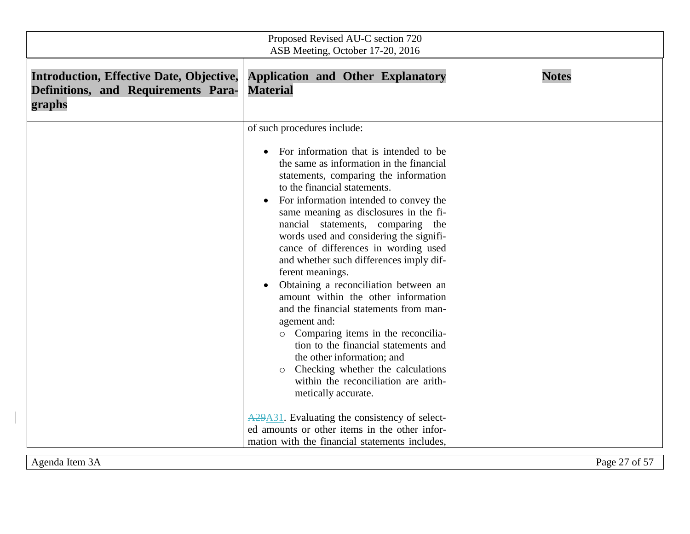| Proposed Revised AU-C section 720<br>ASB Meeting, October 17-20, 2016                            |                                                                                                                                                                                                                                                                                                                                                                                                                                                                                                                                                                                                                                                                                                                                                                                                                                                                                                                                                                                                                                         |               |
|--------------------------------------------------------------------------------------------------|-----------------------------------------------------------------------------------------------------------------------------------------------------------------------------------------------------------------------------------------------------------------------------------------------------------------------------------------------------------------------------------------------------------------------------------------------------------------------------------------------------------------------------------------------------------------------------------------------------------------------------------------------------------------------------------------------------------------------------------------------------------------------------------------------------------------------------------------------------------------------------------------------------------------------------------------------------------------------------------------------------------------------------------------|---------------|
| <b>Introduction, Effective Date, Objective,</b><br>Definitions, and Requirements Para-<br>graphs | <b>Application and Other Explanatory</b><br><b>Material</b>                                                                                                                                                                                                                                                                                                                                                                                                                                                                                                                                                                                                                                                                                                                                                                                                                                                                                                                                                                             | <b>Notes</b>  |
|                                                                                                  | of such procedures include:<br>For information that is intended to be<br>$\bullet$<br>the same as information in the financial<br>statements, comparing the information<br>to the financial statements.<br>For information intended to convey the<br>same meaning as disclosures in the fi-<br>nancial statements, comparing the<br>words used and considering the signifi-<br>cance of differences in wording used<br>and whether such differences imply dif-<br>ferent meanings.<br>Obtaining a reconciliation between an<br>amount within the other information<br>and the financial statements from man-<br>agement and:<br>o Comparing items in the reconcilia-<br>tion to the financial statements and<br>the other information; and<br>Checking whether the calculations<br>$\circ$<br>within the reconciliation are arith-<br>metically accurate.<br>A <sub>29</sub> A <sub>31</sub> . Evaluating the consistency of select-<br>ed amounts or other items in the other infor-<br>mation with the financial statements includes. |               |
| Agenda Item 3A                                                                                   |                                                                                                                                                                                                                                                                                                                                                                                                                                                                                                                                                                                                                                                                                                                                                                                                                                                                                                                                                                                                                                         | Page 27 of 57 |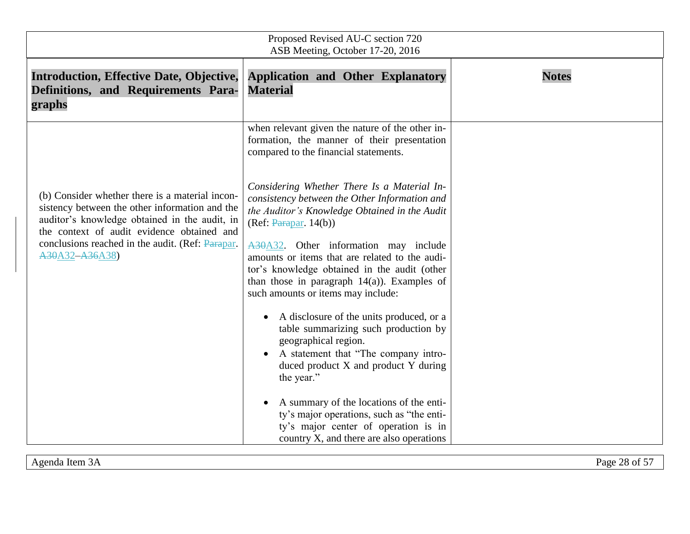| Proposed Revised AU-C section 720<br>ASB Meeting, October 17-20, 2016                                                                                                                                                                                                  |                                                                                                                                                                                                                                                                                                                                                                                                                                                                                                                                                                                                                                                                                                                                                                                                                                                                                                                                                |              |
|------------------------------------------------------------------------------------------------------------------------------------------------------------------------------------------------------------------------------------------------------------------------|------------------------------------------------------------------------------------------------------------------------------------------------------------------------------------------------------------------------------------------------------------------------------------------------------------------------------------------------------------------------------------------------------------------------------------------------------------------------------------------------------------------------------------------------------------------------------------------------------------------------------------------------------------------------------------------------------------------------------------------------------------------------------------------------------------------------------------------------------------------------------------------------------------------------------------------------|--------------|
| <b>Introduction, Effective Date, Objective,</b><br>Definitions, and Requirements Para-<br>graphs                                                                                                                                                                       | <b>Application and Other Explanatory</b><br><b>Material</b>                                                                                                                                                                                                                                                                                                                                                                                                                                                                                                                                                                                                                                                                                                                                                                                                                                                                                    | <b>Notes</b> |
| (b) Consider whether there is a material incon-<br>sistency between the other information and the<br>auditor's knowledge obtained in the audit, in<br>the context of audit evidence obtained and<br>conclusions reached in the audit. (Ref: Parapar.<br>A30A32-A36A38) | when relevant given the nature of the other in-<br>formation, the manner of their presentation<br>compared to the financial statements.<br>Considering Whether There Is a Material In-<br>consistency between the Other Information and<br>the Auditor's Knowledge Obtained in the Audit<br>(Ref: <b>Param</b> 14(b))<br>A30A32. Other information may include<br>amounts or items that are related to the audi-<br>tor's knowledge obtained in the audit (other<br>than those in paragraph $14(a)$ ). Examples of<br>such amounts or items may include:<br>A disclosure of the units produced, or a<br>table summarizing such production by<br>geographical region.<br>A statement that "The company intro-<br>duced product X and product Y during<br>the year."<br>A summary of the locations of the enti-<br>ty's major operations, such as "the enti-<br>ty's major center of operation is in<br>country X, and there are also operations |              |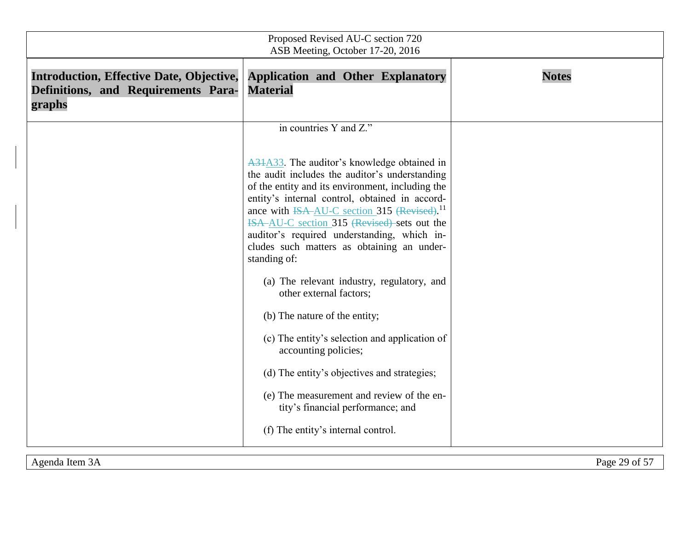| Proposed Revised AU-C section 720<br>ASB Meeting, October 17-20, 2016                            |                                                                                                                                                                                                                                                                                                                                                                                                                                                                                                                                                                                                                                                                                                                                                                                                 |               |
|--------------------------------------------------------------------------------------------------|-------------------------------------------------------------------------------------------------------------------------------------------------------------------------------------------------------------------------------------------------------------------------------------------------------------------------------------------------------------------------------------------------------------------------------------------------------------------------------------------------------------------------------------------------------------------------------------------------------------------------------------------------------------------------------------------------------------------------------------------------------------------------------------------------|---------------|
| <b>Introduction, Effective Date, Objective,</b><br>Definitions, and Requirements Para-<br>graphs | <b>Application and Other Explanatory</b><br><b>Material</b>                                                                                                                                                                                                                                                                                                                                                                                                                                                                                                                                                                                                                                                                                                                                     | <b>Notes</b>  |
|                                                                                                  | in countries Y and Z."                                                                                                                                                                                                                                                                                                                                                                                                                                                                                                                                                                                                                                                                                                                                                                          |               |
|                                                                                                  | A31A33. The auditor's knowledge obtained in<br>the audit includes the auditor's understanding<br>of the entity and its environment, including the<br>entity's internal control, obtained in accord-<br>ance with <del>ISA AU-C</del> section 315 (Revised). <sup>11</sup><br>ISA-AU-C section 315 (Revised) sets out the<br>auditor's required understanding, which in-<br>cludes such matters as obtaining an under-<br>standing of:<br>(a) The relevant industry, regulatory, and<br>other external factors;<br>(b) The nature of the entity;<br>(c) The entity's selection and application of<br>accounting policies;<br>(d) The entity's objectives and strategies;<br>(e) The measurement and review of the en-<br>tity's financial performance; and<br>(f) The entity's internal control. |               |
| Agenda Item 3A                                                                                   |                                                                                                                                                                                                                                                                                                                                                                                                                                                                                                                                                                                                                                                                                                                                                                                                 | Page 29 of 57 |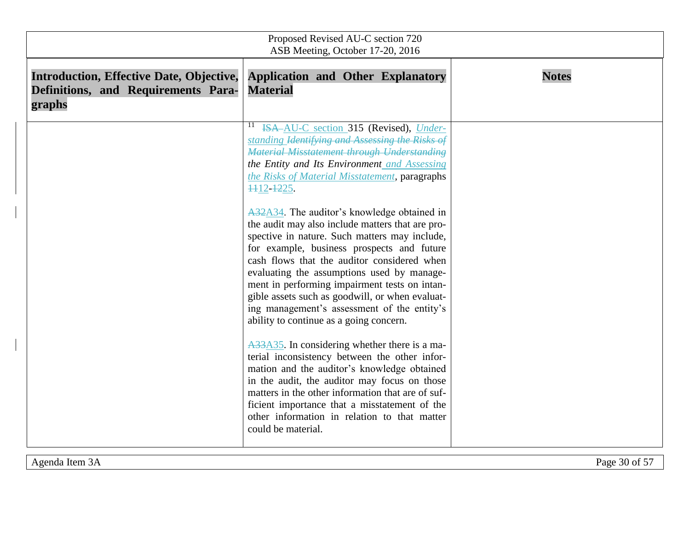| Proposed Revised AU-C section 720<br>ASB Meeting, October 17-20, 2016                            |                                                                                                                                                                                                                                                                                                                                                                                                                                                                                           |              |
|--------------------------------------------------------------------------------------------------|-------------------------------------------------------------------------------------------------------------------------------------------------------------------------------------------------------------------------------------------------------------------------------------------------------------------------------------------------------------------------------------------------------------------------------------------------------------------------------------------|--------------|
| <b>Introduction, Effective Date, Objective,</b><br>Definitions, and Requirements Para-<br>graphs | <b>Application and Other Explanatory</b><br><b>Material</b>                                                                                                                                                                                                                                                                                                                                                                                                                               | <b>Notes</b> |
|                                                                                                  | ISA-AU-C section 315 (Revised), Under-<br>$\mathbf{11}$<br>standing Identifying and Assessing the Risks of<br><b>Material Misstatement through Understanding</b><br>the Entity and Its Environment and Assessing<br>the Risks of Material Misstatement, paragraphs<br>1112-1225.                                                                                                                                                                                                          |              |
|                                                                                                  | A32A34. The auditor's knowledge obtained in<br>the audit may also include matters that are pro-<br>spective in nature. Such matters may include,<br>for example, business prospects and future<br>cash flows that the auditor considered when<br>evaluating the assumptions used by manage-<br>ment in performing impairment tests on intan-<br>gible assets such as goodwill, or when evaluat-<br>ing management's assessment of the entity's<br>ability to continue as a going concern. |              |
|                                                                                                  | A33A35. In considering whether there is a ma-<br>terial inconsistency between the other infor-<br>mation and the auditor's knowledge obtained<br>in the audit, the auditor may focus on those<br>matters in the other information that are of suf-<br>ficient importance that a misstatement of the<br>other information in relation to that matter<br>could be material.                                                                                                                 |              |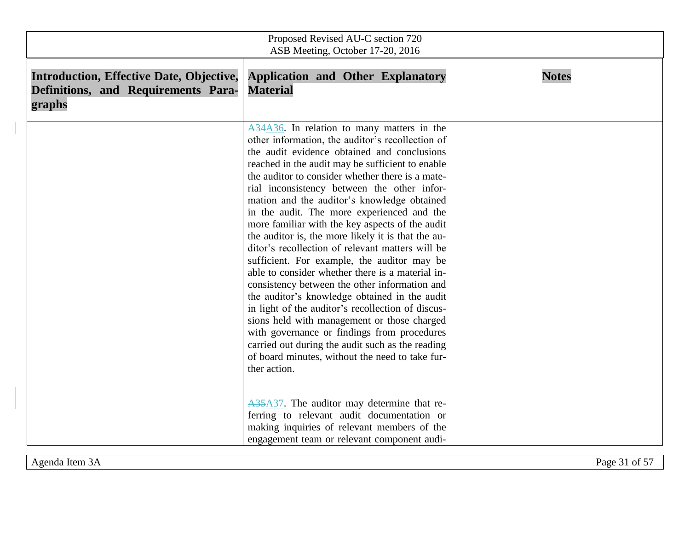| Proposed Revised AU-C section 720<br>ASB Meeting, October 17-20, 2016                            |                                                                                                                                                                                                                                                                                                                                                                                                                                                                                                                                                                                                                                                                                                                                                                                                                                                                                                                                                                                                                                               |              |
|--------------------------------------------------------------------------------------------------|-----------------------------------------------------------------------------------------------------------------------------------------------------------------------------------------------------------------------------------------------------------------------------------------------------------------------------------------------------------------------------------------------------------------------------------------------------------------------------------------------------------------------------------------------------------------------------------------------------------------------------------------------------------------------------------------------------------------------------------------------------------------------------------------------------------------------------------------------------------------------------------------------------------------------------------------------------------------------------------------------------------------------------------------------|--------------|
| <b>Introduction, Effective Date, Objective,</b><br>Definitions, and Requirements Para-<br>graphs | <b>Application and Other Explanatory</b><br><b>Material</b>                                                                                                                                                                                                                                                                                                                                                                                                                                                                                                                                                                                                                                                                                                                                                                                                                                                                                                                                                                                   | <b>Notes</b> |
|                                                                                                  | A34A36. In relation to many matters in the<br>other information, the auditor's recollection of<br>the audit evidence obtained and conclusions<br>reached in the audit may be sufficient to enable<br>the auditor to consider whether there is a mate-<br>rial inconsistency between the other infor-<br>mation and the auditor's knowledge obtained<br>in the audit. The more experienced and the<br>more familiar with the key aspects of the audit<br>the auditor is, the more likely it is that the au-<br>ditor's recollection of relevant matters will be<br>sufficient. For example, the auditor may be<br>able to consider whether there is a material in-<br>consistency between the other information and<br>the auditor's knowledge obtained in the audit<br>in light of the auditor's recollection of discus-<br>sions held with management or those charged<br>with governance or findings from procedures<br>carried out during the audit such as the reading<br>of board minutes, without the need to take fur-<br>ther action. |              |
|                                                                                                  | A35A37. The auditor may determine that re-<br>ferring to relevant audit documentation or<br>making inquiries of relevant members of the<br>engagement team or relevant component audi-                                                                                                                                                                                                                                                                                                                                                                                                                                                                                                                                                                                                                                                                                                                                                                                                                                                        |              |

 $\overline{\mathsf{I}}$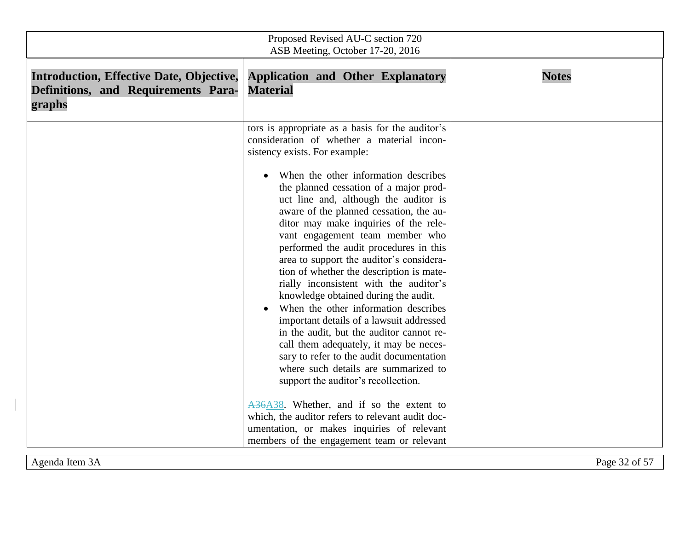| Proposed Revised AU-C section 720<br>ASB Meeting, October 17-20, 2016                            |                                                                                                                                                                                                                                                                                                                                                                                                                                                                                                                                                                                                                                                                                                                                                                                                                                                                                                                                                                                                                                                                                                        |              |
|--------------------------------------------------------------------------------------------------|--------------------------------------------------------------------------------------------------------------------------------------------------------------------------------------------------------------------------------------------------------------------------------------------------------------------------------------------------------------------------------------------------------------------------------------------------------------------------------------------------------------------------------------------------------------------------------------------------------------------------------------------------------------------------------------------------------------------------------------------------------------------------------------------------------------------------------------------------------------------------------------------------------------------------------------------------------------------------------------------------------------------------------------------------------------------------------------------------------|--------------|
| <b>Introduction, Effective Date, Objective,</b><br>Definitions, and Requirements Para-<br>graphs | <b>Application and Other Explanatory</b><br><b>Material</b>                                                                                                                                                                                                                                                                                                                                                                                                                                                                                                                                                                                                                                                                                                                                                                                                                                                                                                                                                                                                                                            | <b>Notes</b> |
|                                                                                                  | tors is appropriate as a basis for the auditor's<br>consideration of whether a material incon-<br>sistency exists. For example:<br>When the other information describes<br>the planned cessation of a major prod-<br>uct line and, although the auditor is<br>aware of the planned cessation, the au-<br>ditor may make inquiries of the rele-<br>vant engagement team member who<br>performed the audit procedures in this<br>area to support the auditor's considera-<br>tion of whether the description is mate-<br>rially inconsistent with the auditor's<br>knowledge obtained during the audit.<br>When the other information describes<br>important details of a lawsuit addressed<br>in the audit, but the auditor cannot re-<br>call them adequately, it may be neces-<br>sary to refer to the audit documentation<br>where such details are summarized to<br>support the auditor's recollection.<br>A36A38. Whether, and if so the extent to<br>which, the auditor refers to relevant audit doc-<br>umentation, or makes inquiries of relevant<br>members of the engagement team or relevant |              |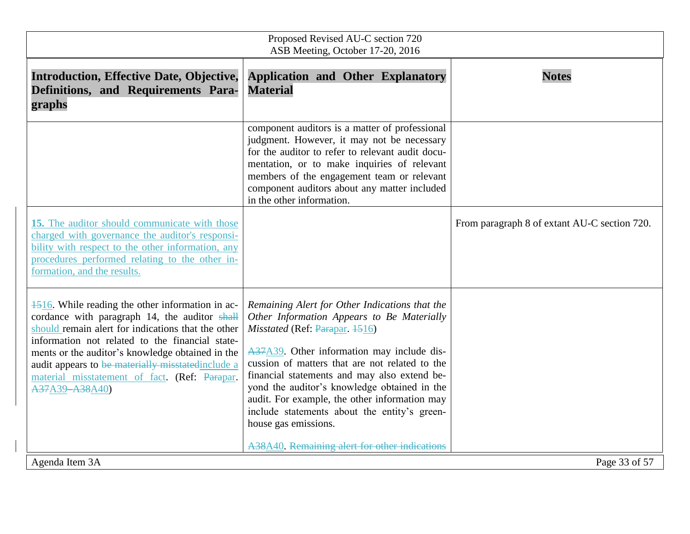| Proposed Revised AU-C section 720<br>ASB Meeting, October 17-20, 2016                                                                                                                                                                                                                                                                                                                   |                                                                                                                                                                                                                                                                                                                                                                                                                                                         |                                              |
|-----------------------------------------------------------------------------------------------------------------------------------------------------------------------------------------------------------------------------------------------------------------------------------------------------------------------------------------------------------------------------------------|---------------------------------------------------------------------------------------------------------------------------------------------------------------------------------------------------------------------------------------------------------------------------------------------------------------------------------------------------------------------------------------------------------------------------------------------------------|----------------------------------------------|
| <b>Introduction, Effective Date, Objective,</b><br>Definitions, and Requirements Para-<br>graphs                                                                                                                                                                                                                                                                                        | <b>Application and Other Explanatory</b><br><b>Material</b>                                                                                                                                                                                                                                                                                                                                                                                             | <b>Notes</b>                                 |
|                                                                                                                                                                                                                                                                                                                                                                                         | component auditors is a matter of professional<br>judgment. However, it may not be necessary<br>for the auditor to refer to relevant audit docu-<br>mentation, or to make inquiries of relevant<br>members of the engagement team or relevant<br>component auditors about any matter included<br>in the other information.                                                                                                                              |                                              |
| 15. The auditor should communicate with those<br>charged with governance the auditor's responsi-<br>bility with respect to the other information, any<br>procedures performed relating to the other in-<br>formation, and the results.                                                                                                                                                  |                                                                                                                                                                                                                                                                                                                                                                                                                                                         | From paragraph 8 of extant AU-C section 720. |
| 4516. While reading the other information in ac-<br>cordance with paragraph 14, the auditor shall<br>should remain alert for indications that the other<br>information not related to the financial state-<br>ments or the auditor's knowledge obtained in the<br>audit appears to be materially misstated include a<br>material misstatement of fact. (Ref: Parapar.<br>A37A39-A38A40) | Remaining Alert for Other Indications that the<br>Other Information Appears to Be Materially<br>Misstated (Ref: Parapar, 1516)<br>A37A39. Other information may include dis-<br>cussion of matters that are not related to the<br>financial statements and may also extend be-<br>yond the auditor's knowledge obtained in the<br>audit. For example, the other information may<br>include statements about the entity's green-<br>house gas emissions. |                                              |
| Agenda Item 3A                                                                                                                                                                                                                                                                                                                                                                          | A38A40. Remaining alert for other indications                                                                                                                                                                                                                                                                                                                                                                                                           | Page 33 of 57                                |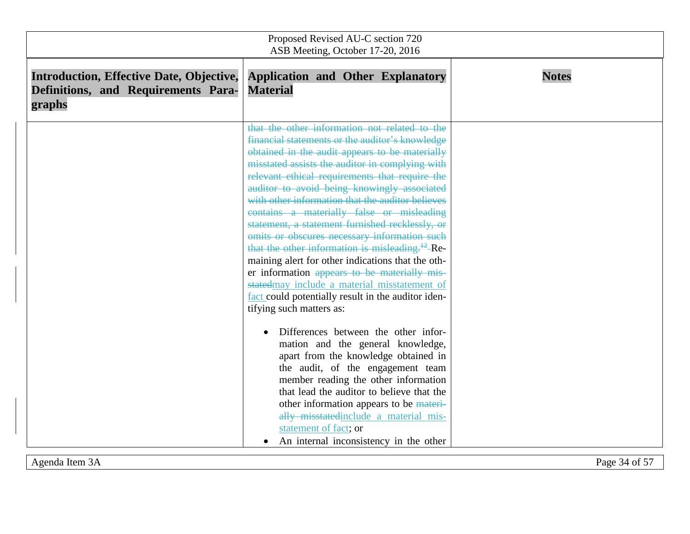| Proposed Revised AU-C section 720<br>ASB Meeting, October 17-20, 2016                            |                                                                                                                                                                                                                                                                                                                                                                                                                                                                                                                                                                                                                                                                                                                                                                                                                                                                                                                                                                                                                                                                                                                                                                                                                          |              |
|--------------------------------------------------------------------------------------------------|--------------------------------------------------------------------------------------------------------------------------------------------------------------------------------------------------------------------------------------------------------------------------------------------------------------------------------------------------------------------------------------------------------------------------------------------------------------------------------------------------------------------------------------------------------------------------------------------------------------------------------------------------------------------------------------------------------------------------------------------------------------------------------------------------------------------------------------------------------------------------------------------------------------------------------------------------------------------------------------------------------------------------------------------------------------------------------------------------------------------------------------------------------------------------------------------------------------------------|--------------|
| <b>Introduction, Effective Date, Objective,</b><br>Definitions, and Requirements Para-<br>graphs | <b>Application and Other Explanatory</b><br><b>Material</b>                                                                                                                                                                                                                                                                                                                                                                                                                                                                                                                                                                                                                                                                                                                                                                                                                                                                                                                                                                                                                                                                                                                                                              | <b>Notes</b> |
|                                                                                                  | that the other information not related to the<br>financial statements or the auditor's knowledge<br>obtained in the audit appears to be materially<br>misstated assists the auditor in complying with<br>relevant ethical requirements that require the<br>auditor to avoid being knowingly associated<br>with other information that the auditor believes<br>contains a materially false or misleading<br>statement, a statement furnished recklessly, or<br>omits or obscures necessary information such<br>that the other information is misleading. <sup>12</sup> -Re-<br>maining alert for other indications that the oth-<br>er information appears to be materially mis-<br>statedmay include a material misstatement of<br>fact could potentially result in the auditor iden-<br>tifying such matters as:<br>Differences between the other infor-<br>mation and the general knowledge,<br>apart from the knowledge obtained in<br>the audit, of the engagement team<br>member reading the other information<br>that lead the auditor to believe that the<br>other information appears to be materi-<br>ally misstated include a material mis-<br>statement of fact; or<br>An internal inconsistency in the other |              |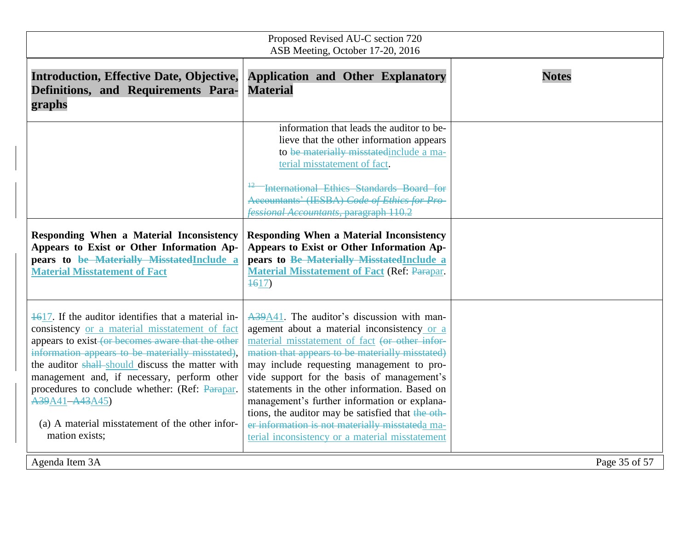| Proposed Revised AU-C section 720<br>ASB Meeting, October 17-20, 2016                                                                                                                                                                                                                                                                                                                                                                                      |                                                                                                                                                                                                                                                                                                                                                                                                                                                                                                                                                       |               |
|------------------------------------------------------------------------------------------------------------------------------------------------------------------------------------------------------------------------------------------------------------------------------------------------------------------------------------------------------------------------------------------------------------------------------------------------------------|-------------------------------------------------------------------------------------------------------------------------------------------------------------------------------------------------------------------------------------------------------------------------------------------------------------------------------------------------------------------------------------------------------------------------------------------------------------------------------------------------------------------------------------------------------|---------------|
| <b>Introduction, Effective Date, Objective,</b><br>Definitions, and Requirements Para-<br>graphs                                                                                                                                                                                                                                                                                                                                                           | <b>Application and Other Explanatory</b><br><b>Material</b>                                                                                                                                                                                                                                                                                                                                                                                                                                                                                           | <b>Notes</b>  |
|                                                                                                                                                                                                                                                                                                                                                                                                                                                            | information that leads the auditor to be-<br>lieve that the other information appears<br>to be materially misstated include a ma-<br>terial misstatement of fact.<br>-International Ethics Standards Board for<br>Accountants' (IESBA) Code of Ethics for Pro-<br><b>fessional Accountants, paragraph 110.2</b>                                                                                                                                                                                                                                       |               |
| Responding When a Material Inconsistency<br>Appears to Exist or Other Information Ap-<br>pears to be Materially Misstated Include a<br><b>Material Misstatement of Fact</b>                                                                                                                                                                                                                                                                                | <b>Responding When a Material Inconsistency</b><br>Appears to Exist or Other Information Ap-<br>pears to Be Materially Misstated Include a<br><b>Material Misstatement of Fact (Ref: Parapar.</b><br>$+617$                                                                                                                                                                                                                                                                                                                                           |               |
| 4617. If the auditor identifies that a material in-<br>consistency or a material misstatement of fact<br>appears to exist (or becomes aware that the other<br>information appears to be materially misstated),<br>the auditor shall-should discuss the matter with<br>management and, if necessary, perform other<br>procedures to conclude whether: (Ref: Parapar.<br>A39A41-A43A45)<br>(a) A material misstatement of the other infor-<br>mation exists; | A39A41. The auditor's discussion with man-<br>agement about a material inconsistency or a<br>material misstatement of fact (or other infor-<br>mation that appears to be materially misstated)<br>may include requesting management to pro-<br>vide support for the basis of management's<br>statements in the other information. Based on<br>management's further information or explana-<br>tions, the auditor may be satisfied that the oth-<br>er information is not materially misstateda ma-<br>terial inconsistency or a material misstatement |               |
| Agenda Item 3A                                                                                                                                                                                                                                                                                                                                                                                                                                             |                                                                                                                                                                                                                                                                                                                                                                                                                                                                                                                                                       | Page 35 of 57 |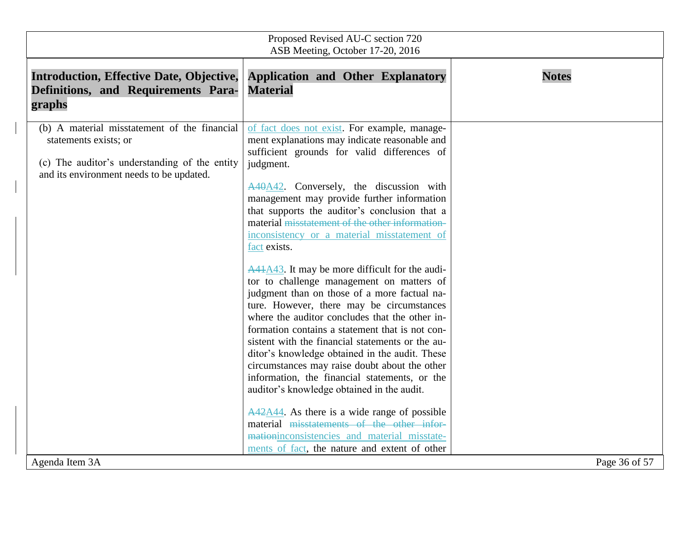| Proposed Revised AU-C section 720<br>ASB Meeting, October 17-20, 2016                                                                                              |                                                                                                                                                                                                                                                                                                                                                                                                                                                                                                                                                                   |               |
|--------------------------------------------------------------------------------------------------------------------------------------------------------------------|-------------------------------------------------------------------------------------------------------------------------------------------------------------------------------------------------------------------------------------------------------------------------------------------------------------------------------------------------------------------------------------------------------------------------------------------------------------------------------------------------------------------------------------------------------------------|---------------|
| <b>Introduction, Effective Date, Objective,</b><br>Definitions, and Requirements Para-<br>graphs                                                                   | <b>Application and Other Explanatory</b><br><b>Material</b>                                                                                                                                                                                                                                                                                                                                                                                                                                                                                                       | <b>Notes</b>  |
| (b) A material misstatement of the financial<br>statements exists; or<br>(c) The auditor's understanding of the entity<br>and its environment needs to be updated. | of fact does not exist. For example, manage-<br>ment explanations may indicate reasonable and<br>sufficient grounds for valid differences of<br>judgment.<br>A40A42. Conversely, the discussion with<br>management may provide further information<br>that supports the auditor's conclusion that a<br>material misstatement of the other information-<br>inconsistency or a material misstatement of<br>fact exists.                                                                                                                                             |               |
|                                                                                                                                                                    | $\frac{A41A43}{A1}$ . It may be more difficult for the audi-<br>tor to challenge management on matters of<br>judgment than on those of a more factual na-<br>ture. However, there may be circumstances<br>where the auditor concludes that the other in-<br>formation contains a statement that is not con-<br>sistent with the financial statements or the au-<br>ditor's knowledge obtained in the audit. These<br>circumstances may raise doubt about the other<br>information, the financial statements, or the<br>auditor's knowledge obtained in the audit. |               |
| Agenda Item 3A                                                                                                                                                     | $\frac{\text{A}42 \text{A}44}{\text{A}44}$ . As there is a wide range of possible<br>material misstatements of the other infor-<br>mationinconsistencies and material misstate-<br>ments of fact, the nature and extent of other                                                                                                                                                                                                                                                                                                                                  | Page 36 of 57 |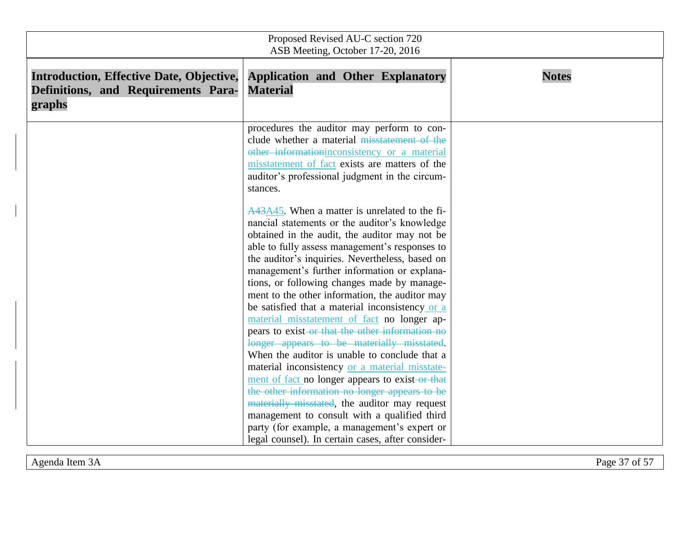| Proposed Revised AU-C section 720<br>ASB Meeting, October 17-20, 2016                            |                                                                                                                                                                                                                                                                                                                                                      |              |  |  |
|--------------------------------------------------------------------------------------------------|------------------------------------------------------------------------------------------------------------------------------------------------------------------------------------------------------------------------------------------------------------------------------------------------------------------------------------------------------|--------------|--|--|
| <b>Introduction, Effective Date, Objective,</b><br>Definitions, and Requirements Para-<br>graphs | <b>Application and Other Explanatory</b><br><b>Material</b>                                                                                                                                                                                                                                                                                          | <b>Notes</b> |  |  |
|                                                                                                  | procedures the auditor may perform to con-<br>clude whether a material misstatement of the<br>other informationinconsistency or a material<br>misstatement of fact exists are matters of the<br>auditor's professional judgment in the circum-<br>stances.                                                                                           |              |  |  |
|                                                                                                  | A43A45. When a matter is unrelated to the fi-<br>nancial statements or the auditor's knowledge<br>obtained in the audit, the auditor may not be<br>able to fully assess management's responses to<br>the auditor's inquiries. Nevertheless, based on<br>management's further information or explana-                                                 |              |  |  |
|                                                                                                  | tions, or following changes made by manage-<br>ment to the other information, the auditor may<br>be satisfied that a material inconsistency or a<br>material misstatement of fact no longer ap-<br>pears to exist-or that the other information no<br>longer appears to be materially misstated.                                                     |              |  |  |
|                                                                                                  | When the auditor is unable to conclude that a<br>material inconsistency or a material misstate-<br>ment of fact no longer appears to exist-or that<br>the other information no longer appears to be<br>materially misstated, the auditor may request<br>management to consult with a qualified third<br>party (for example, a management's expert or |              |  |  |
|                                                                                                  | legal counsel). In certain cases, after consider-                                                                                                                                                                                                                                                                                                    |              |  |  |

 $\begin{array}{c} \hline \end{array}$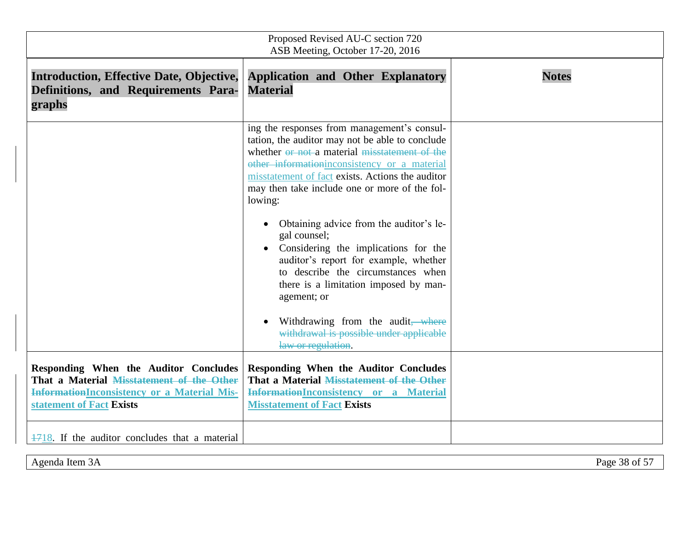| Proposed Revised AU-C section 720<br>ASB Meeting, October 17-20, 2016                                                                                                |                                                                                                                                                                                                                                                                                                                                                                                                                                                                                                                                                                                                                                                                 |              |  |
|----------------------------------------------------------------------------------------------------------------------------------------------------------------------|-----------------------------------------------------------------------------------------------------------------------------------------------------------------------------------------------------------------------------------------------------------------------------------------------------------------------------------------------------------------------------------------------------------------------------------------------------------------------------------------------------------------------------------------------------------------------------------------------------------------------------------------------------------------|--------------|--|
| <b>Introduction, Effective Date, Objective,</b><br>Definitions, and Requirements Para-<br>graphs                                                                     | <b>Application and Other Explanatory</b><br><b>Material</b>                                                                                                                                                                                                                                                                                                                                                                                                                                                                                                                                                                                                     | <b>Notes</b> |  |
|                                                                                                                                                                      | ing the responses from management's consul-<br>tation, the auditor may not be able to conclude<br>whether or not a material misstatement of the<br>other informationinconsistency or a material<br>misstatement of fact exists. Actions the auditor<br>may then take include one or more of the fol-<br>lowing:<br>Obtaining advice from the auditor's le-<br>gal counsel;<br>Considering the implications for the<br>auditor's report for example, whether<br>to describe the circumstances when<br>there is a limitation imposed by man-<br>agement; or<br>Withdrawing from the audit, where<br>withdrawal is possible under applicable<br>law or regulation. |              |  |
| Responding When the Auditor Concludes<br>That a Material Misstatement of the Other<br><b>InformationInconsistency or a Material Mis-</b><br>statement of Fact Exists | <b>Responding When the Auditor Concludes</b><br>That a Material Misstatement of the Other<br>InformationInconsistency or a Material<br><b>Misstatement of Fact Exists</b>                                                                                                                                                                                                                                                                                                                                                                                                                                                                                       |              |  |
| 4718. If the auditor concludes that a material                                                                                                                       |                                                                                                                                                                                                                                                                                                                                                                                                                                                                                                                                                                                                                                                                 |              |  |

Agenda Item 3A Page 38 of 57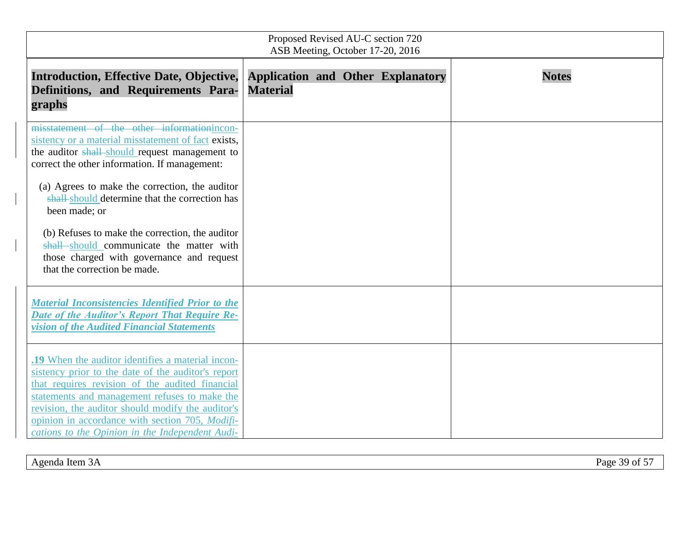| Proposed Revised AU-C section 720<br>ASB Meeting, October 17-20, 2016                                                                                                                                                                                                                                                                                                                                                                                                                                  |                 |  |                                          |              |
|--------------------------------------------------------------------------------------------------------------------------------------------------------------------------------------------------------------------------------------------------------------------------------------------------------------------------------------------------------------------------------------------------------------------------------------------------------------------------------------------------------|-----------------|--|------------------------------------------|--------------|
| <b>Introduction, Effective Date, Objective,</b><br>Definitions, and Requirements Para-<br>graphs                                                                                                                                                                                                                                                                                                                                                                                                       | <b>Material</b> |  | <b>Application and Other Explanatory</b> | <b>Notes</b> |
| misstatement of the other informationincon-<br>sistency or a material misstatement of fact exists,<br>the auditor shall-should request management to<br>correct the other information. If management:<br>(a) Agrees to make the correction, the auditor<br>shall-should determine that the correction has<br>been made; or<br>(b) Refuses to make the correction, the auditor<br>shall should communicate the matter with<br>those charged with governance and request<br>that the correction be made. |                 |  |                                          |              |
| <b>Material Inconsistencies Identified Prior to the</b><br><b>Date of the Auditor's Report That Require Re-</b><br>vision of the Audited Financial Statements                                                                                                                                                                                                                                                                                                                                          |                 |  |                                          |              |
| .19 When the auditor identifies a material incon-<br>sistency prior to the date of the auditor's report<br>that requires revision of the audited financial<br>statements and management refuses to make the<br>revision, the auditor should modify the auditor's<br>opinion in accordance with section 705, Modifi-<br>cations to the Opinion in the Independent Audi-                                                                                                                                 |                 |  |                                          |              |

Agenda Item 3A Page 39 of 57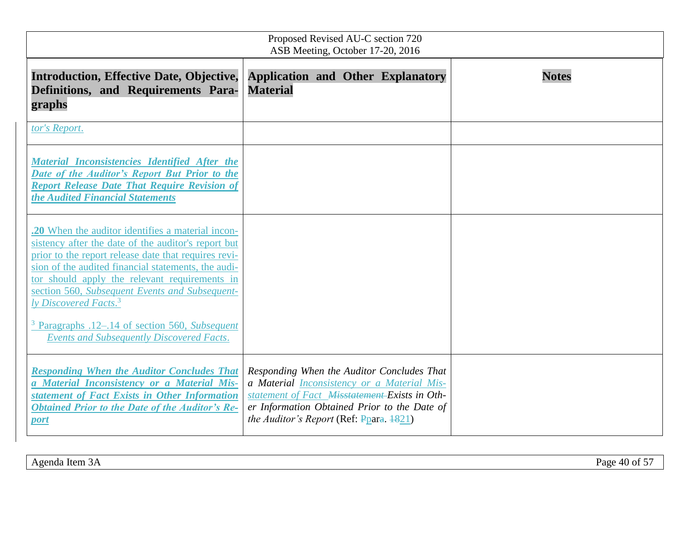| Proposed Revised AU-C section 720<br>ASB Meeting, October 17-20, 2016                                                                                                                                                                                                                                                                                                                                                                                                             |                                                                                                                                                                                                                                                 |              |  |  |
|-----------------------------------------------------------------------------------------------------------------------------------------------------------------------------------------------------------------------------------------------------------------------------------------------------------------------------------------------------------------------------------------------------------------------------------------------------------------------------------|-------------------------------------------------------------------------------------------------------------------------------------------------------------------------------------------------------------------------------------------------|--------------|--|--|
| <b>Introduction, Effective Date, Objective,</b><br>Definitions, and Requirements Para-<br>graphs                                                                                                                                                                                                                                                                                                                                                                                  | <b>Application and Other Explanatory</b><br><b>Material</b>                                                                                                                                                                                     | <b>Notes</b> |  |  |
| tor's Report.                                                                                                                                                                                                                                                                                                                                                                                                                                                                     |                                                                                                                                                                                                                                                 |              |  |  |
| Material Inconsistencies Identified After the<br>Date of the Auditor's Report But Prior to the<br><b>Report Release Date That Require Revision of</b><br>the Audited Financial Statements                                                                                                                                                                                                                                                                                         |                                                                                                                                                                                                                                                 |              |  |  |
| .20 When the auditor identifies a material incon-<br>sistency after the date of the auditor's report but<br>prior to the report release date that requires revi-<br>sion of the audited financial statements, the audi-<br>tor should apply the relevant requirements in<br>section 560, Subsequent Events and Subsequent-<br>ly Discovered Facts. <sup>3</sup><br><sup>3</sup> Paragraphs .12–.14 of section 560, Subsequent<br><b>Events and Subsequently Discovered Facts.</b> |                                                                                                                                                                                                                                                 |              |  |  |
| <b>Responding When the Auditor Concludes That</b><br>a Material Inconsistency or a Material Mis-<br>statement of Fact Exists in Other Information<br><b>Obtained Prior to the Date of the Auditor's Re-</b><br>port                                                                                                                                                                                                                                                               | Responding When the Auditor Concludes That<br>a Material <i>Inconsistency or a Material Mis-</i><br>statement of Fact Misstatement-Exists in Oth-<br>er Information Obtained Prior to the Date of<br>the Auditor's Report (Ref: $Ppara. 4821$ ) |              |  |  |

Agenda Item 3A Page 40 of 57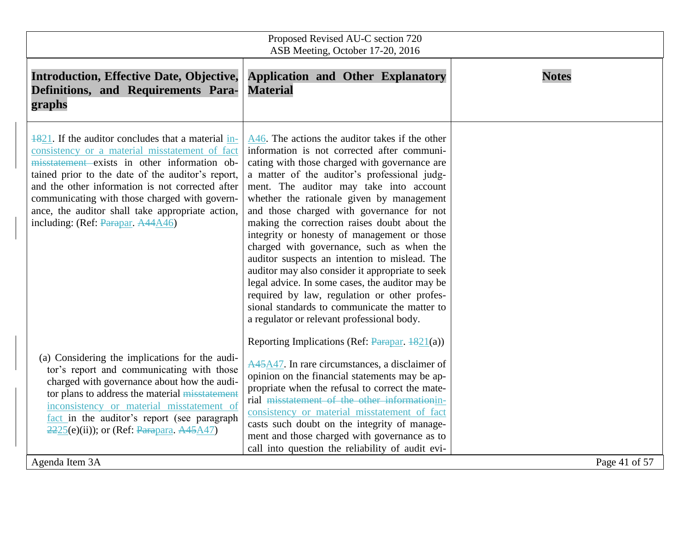| Proposed Revised AU-C section 720<br>ASB Meeting, October 17-20, 2016                                                                                                                                                                                                                                                                                                                                   |                                                                                                                                                                                                                                                                                                                                                                                                                                                                                                                                                                                                                                                                                                                                                                                         |               |  |
|---------------------------------------------------------------------------------------------------------------------------------------------------------------------------------------------------------------------------------------------------------------------------------------------------------------------------------------------------------------------------------------------------------|-----------------------------------------------------------------------------------------------------------------------------------------------------------------------------------------------------------------------------------------------------------------------------------------------------------------------------------------------------------------------------------------------------------------------------------------------------------------------------------------------------------------------------------------------------------------------------------------------------------------------------------------------------------------------------------------------------------------------------------------------------------------------------------------|---------------|--|
| <b>Introduction, Effective Date, Objective,</b><br>Definitions, and Requirements Para-<br>graphs                                                                                                                                                                                                                                                                                                        | <b>Application and Other Explanatory</b><br><b>Material</b>                                                                                                                                                                                                                                                                                                                                                                                                                                                                                                                                                                                                                                                                                                                             | <b>Notes</b>  |  |
| 4821. If the auditor concludes that a material in-<br>consistency or a material misstatement of fact<br>misstatement exists in other information ob-<br>tained prior to the date of the auditor's report,<br>and the other information is not corrected after<br>communicating with those charged with govern-<br>ance, the auditor shall take appropriate action,<br>including: (Ref: Parapar, A44A46) | A46. The actions the auditor takes if the other<br>information is not corrected after communi-<br>cating with those charged with governance are<br>a matter of the auditor's professional judg-<br>ment. The auditor may take into account<br>whether the rationale given by management<br>and those charged with governance for not<br>making the correction raises doubt about the<br>integrity or honesty of management or those<br>charged with governance, such as when the<br>auditor suspects an intention to mislead. The<br>auditor may also consider it appropriate to seek<br>legal advice. In some cases, the auditor may be<br>required by law, regulation or other profes-<br>sional standards to communicate the matter to<br>a regulator or relevant professional body. |               |  |
| (a) Considering the implications for the audi-<br>tor's report and communicating with those<br>charged with governance about how the audi-<br>tor plans to address the material misstatement<br>inconsistency or material misstatement of<br>fact in the auditor's report (see paragraph<br>$2225(e(iii))$ ; or (Ref: Parapara, A45A47)<br>Agenda Item 3A                                               | Reporting Implications (Ref: Parapar, 1821(a))<br>A45A47. In rare circumstances, a disclaimer of<br>opinion on the financial statements may be ap-<br>propriate when the refusal to correct the mate-<br>rial misstatement of the other informationin-<br>consistency or material misstatement of fact<br>casts such doubt on the integrity of manage-<br>ment and those charged with governance as to<br>call into question the reliability of audit evi-                                                                                                                                                                                                                                                                                                                              | Page 41 of 57 |  |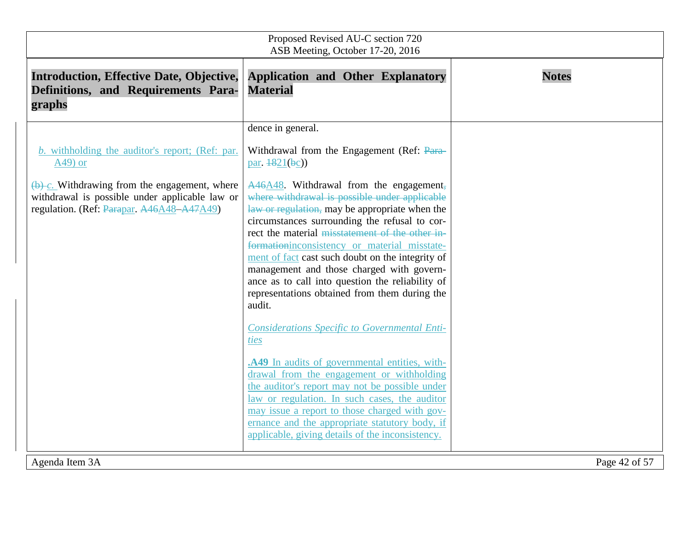| Proposed Revised AU-C section 720<br>ASB Meeting, October 17-20, 2016                                                                                                                                                  |                                                                                                                                                                                                                                                                                                                                                                                                                                                                                                                                                                                                                                                                                                                                                                                                                                                                                                                                                                                                                                              |               |  |  |
|------------------------------------------------------------------------------------------------------------------------------------------------------------------------------------------------------------------------|----------------------------------------------------------------------------------------------------------------------------------------------------------------------------------------------------------------------------------------------------------------------------------------------------------------------------------------------------------------------------------------------------------------------------------------------------------------------------------------------------------------------------------------------------------------------------------------------------------------------------------------------------------------------------------------------------------------------------------------------------------------------------------------------------------------------------------------------------------------------------------------------------------------------------------------------------------------------------------------------------------------------------------------------|---------------|--|--|
| <b>Introduction, Effective Date, Objective,</b><br>Definitions, and Requirements Para-<br>graphs                                                                                                                       | <b>Application and Other Explanatory</b><br><b>Material</b>                                                                                                                                                                                                                                                                                                                                                                                                                                                                                                                                                                                                                                                                                                                                                                                                                                                                                                                                                                                  | <b>Notes</b>  |  |  |
| <i>b.</i> withholding the auditor's report; (Ref: par.<br>$A49$ ) or<br>$(b)$ c. Withdrawing from the engagement, where<br>withdrawal is possible under applicable law or<br>regulation. (Ref: Parapar. A46A48-A47A49) | dence in general.<br>Withdrawal from the Engagement (Ref: Para-<br>par. $\frac{1821}{b}$ (bc))<br>$A46A48$ . Withdrawal from the engagement,<br>where withdrawal is possible under applicable<br>law or regulation, may be appropriate when the<br>circumstances surrounding the refusal to cor-<br>rect the material misstatement of the other in-<br>formationinconsistency or material misstate-<br>ment of fact cast such doubt on the integrity of<br>management and those charged with govern-<br>ance as to call into question the reliability of<br>representations obtained from them during the<br>audit.<br><b>Considerations Specific to Governmental Enti-</b><br>ties<br>.A49 In audits of governmental entities, with-<br>drawal from the engagement or withholding<br>the auditor's report may not be possible under<br>law or regulation. In such cases, the auditor<br>may issue a report to those charged with gov-<br>ernance and the appropriate statutory body, if<br>applicable, giving details of the inconsistency. |               |  |  |
| Agenda Item 3A                                                                                                                                                                                                         |                                                                                                                                                                                                                                                                                                                                                                                                                                                                                                                                                                                                                                                                                                                                                                                                                                                                                                                                                                                                                                              | Page 42 of 57 |  |  |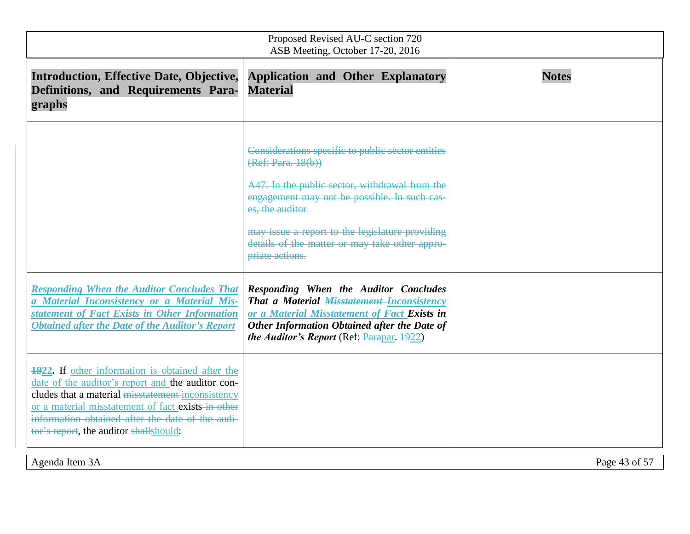| Proposed Revised AU-C section 720<br>ASB Meeting, October 17-20, 2016                                                                                                                                                                                                                                                 |                                                                                                                                                                                                                                                                                                                      |              |  |  |
|-----------------------------------------------------------------------------------------------------------------------------------------------------------------------------------------------------------------------------------------------------------------------------------------------------------------------|----------------------------------------------------------------------------------------------------------------------------------------------------------------------------------------------------------------------------------------------------------------------------------------------------------------------|--------------|--|--|
| <b>Introduction, Effective Date, Objective,</b><br>Definitions, and Requirements Para-<br>graphs                                                                                                                                                                                                                      | <b>Application and Other Explanatory</b><br><b>Material</b>                                                                                                                                                                                                                                                          | <b>Notes</b> |  |  |
|                                                                                                                                                                                                                                                                                                                       | Considerations specific to public sector entities<br>(Ref: Para. 18(b))<br>A47. In the public sector, withdrawal from the<br>engagement may not be possible. In such cas-<br>es, the auditor<br>may issue a report to the legislature providing<br>details of the matter or may take other appro-<br>priate actions. |              |  |  |
| <b>Responding When the Auditor Concludes That</b><br>a Material Inconsistency or a Material Mis-<br>statement of Fact Exists in Other Information<br><b>Obtained after the Date of the Auditor's Report</b>                                                                                                           | <b>Responding When the Auditor Concludes</b><br><b>That a Material <del>Misstatement</del>-Inconsistency</b><br>or a Material Misstatement of Fact Exists in<br>Other Information Obtained after the Date of<br><i>the Auditor's Report</i> (Ref. $\frac{P}{P}$ <i>Rarapar, <math>\frac{1922}{P}</math></i> )        |              |  |  |
| <b>1922.</b> If other information is obtained after the<br>date of the auditor's report and the auditor con-<br>cludes that a material misstatement-inconsistency<br>or a material misstatement of fact exists in other<br>information obtained after the date of the audi-<br>tor's report, the auditor shallshould: |                                                                                                                                                                                                                                                                                                                      |              |  |  |

Agenda Item 3A Page 43 of 57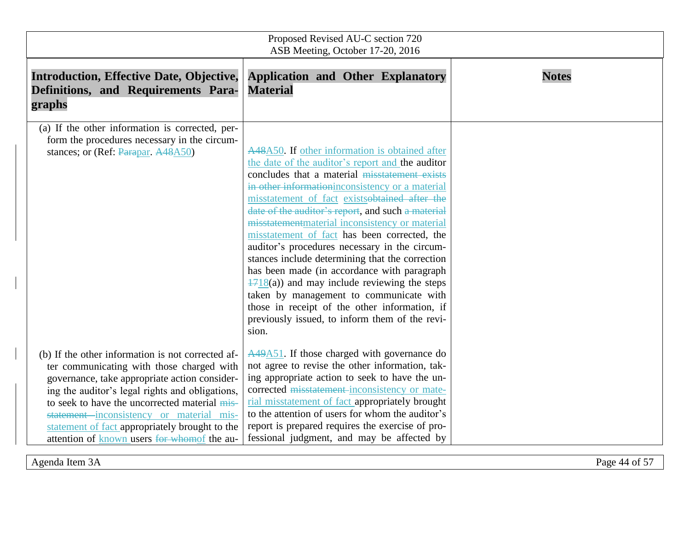| Proposed Revised AU-C section 720<br>ASB Meeting, October 17-20, 2016                                                                                                                                                                                                                                                                                                                            |                                                                                                                                                                                                                                                                                                                                                                                                                                                                                                                                                                                                                                                                                                                                                                                    |              |  |  |
|--------------------------------------------------------------------------------------------------------------------------------------------------------------------------------------------------------------------------------------------------------------------------------------------------------------------------------------------------------------------------------------------------|------------------------------------------------------------------------------------------------------------------------------------------------------------------------------------------------------------------------------------------------------------------------------------------------------------------------------------------------------------------------------------------------------------------------------------------------------------------------------------------------------------------------------------------------------------------------------------------------------------------------------------------------------------------------------------------------------------------------------------------------------------------------------------|--------------|--|--|
| <b>Introduction, Effective Date, Objective,</b><br>Definitions, and Requirements Para-<br>graphs                                                                                                                                                                                                                                                                                                 | <b>Application and Other Explanatory</b><br><b>Material</b>                                                                                                                                                                                                                                                                                                                                                                                                                                                                                                                                                                                                                                                                                                                        | <b>Notes</b> |  |  |
| (a) If the other information is corrected, per-<br>form the procedures necessary in the circum-<br>stances; or (Ref: Parapar, A48A50)                                                                                                                                                                                                                                                            | A48A50. If other information is obtained after<br>the date of the auditor's report and the auditor<br>concludes that a material misstatement exists<br>in other information inconsistency or a material<br>misstatement of fact existsobtained after the<br>date of the auditor's report, and such a material<br>misstatement material inconsistency or material<br>misstatement of fact has been corrected, the<br>auditor's procedures necessary in the circum-<br>stances include determining that the correction<br>has been made (in accordance with paragraph<br>$\frac{1718}{a}$ and may include reviewing the steps<br>taken by management to communicate with<br>those in receipt of the other information, if<br>previously issued, to inform them of the revi-<br>sion. |              |  |  |
| (b) If the other information is not corrected af-<br>ter communicating with those charged with<br>governance, take appropriate action consider-<br>ing the auditor's legal rights and obligations,<br>to seek to have the uncorrected material mis-<br>statement inconsistency or material mis-<br>statement of fact appropriately brought to the<br>attention of known users for whomof the au- | $A49A51$ . If those charged with governance do<br>not agree to revise the other information, tak-<br>ing appropriate action to seek to have the un-<br>corrected misstatement-inconsistency or mate-<br>rial misstatement of fact appropriately brought<br>to the attention of users for whom the auditor's<br>report is prepared requires the exercise of pro-<br>fessional judgment, and may be affected by                                                                                                                                                                                                                                                                                                                                                                      |              |  |  |

Agenda Item 3A Page 44 of 57

 $\begin{array}{c} \hline \end{array}$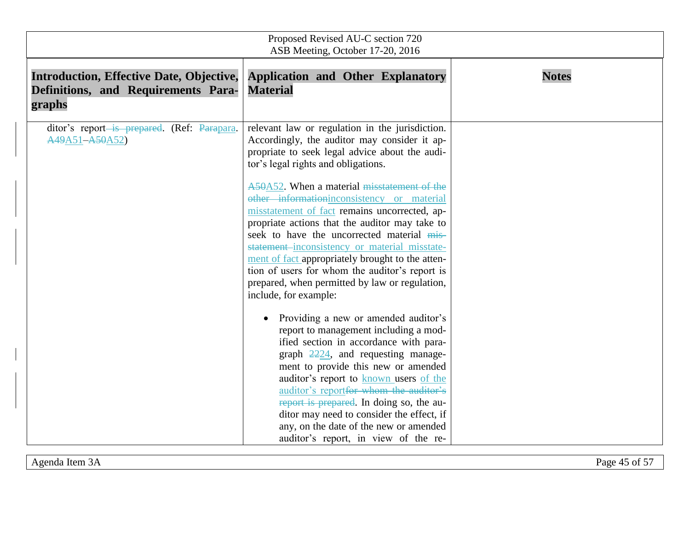| Proposed Revised AU-C section 720<br>ASB Meeting, October 17-20, 2016                            |                                                                                                                                                                                                                                                                                                                                                                                                                                                                                                                                                                                                                                                                                                                                                                                                                                                                                                                                                                                                                                                                                                                                                    |              |  |  |
|--------------------------------------------------------------------------------------------------|----------------------------------------------------------------------------------------------------------------------------------------------------------------------------------------------------------------------------------------------------------------------------------------------------------------------------------------------------------------------------------------------------------------------------------------------------------------------------------------------------------------------------------------------------------------------------------------------------------------------------------------------------------------------------------------------------------------------------------------------------------------------------------------------------------------------------------------------------------------------------------------------------------------------------------------------------------------------------------------------------------------------------------------------------------------------------------------------------------------------------------------------------|--------------|--|--|
| <b>Introduction, Effective Date, Objective,</b><br>Definitions, and Requirements Para-<br>graphs | <b>Application and Other Explanatory</b><br><b>Material</b>                                                                                                                                                                                                                                                                                                                                                                                                                                                                                                                                                                                                                                                                                                                                                                                                                                                                                                                                                                                                                                                                                        | <b>Notes</b> |  |  |
| ditor's report-is prepared. (Ref: Parapara.<br>A49A51-A50A52)                                    | relevant law or regulation in the jurisdiction.<br>Accordingly, the auditor may consider it ap-<br>propriate to seek legal advice about the audi-<br>tor's legal rights and obligations.<br>A50A52. When a material misstatement of the<br>other informationinconsistency or material<br>misstatement of fact remains uncorrected, ap-<br>propriate actions that the auditor may take to<br>seek to have the uncorrected material mis-<br>statement-inconsistency or material misstate-<br>ment of fact appropriately brought to the atten-<br>tion of users for whom the auditor's report is<br>prepared, when permitted by law or regulation,<br>include, for example:<br>Providing a new or amended auditor's<br>report to management including a mod-<br>ified section in accordance with para-<br>graph $2224$ , and requesting manage-<br>ment to provide this new or amended<br>auditor's report to known users of the<br>auditor's reportfor whom the auditor's<br>report is prepared. In doing so, the au-<br>ditor may need to consider the effect, if<br>any, on the date of the new or amended<br>auditor's report, in view of the re- |              |  |  |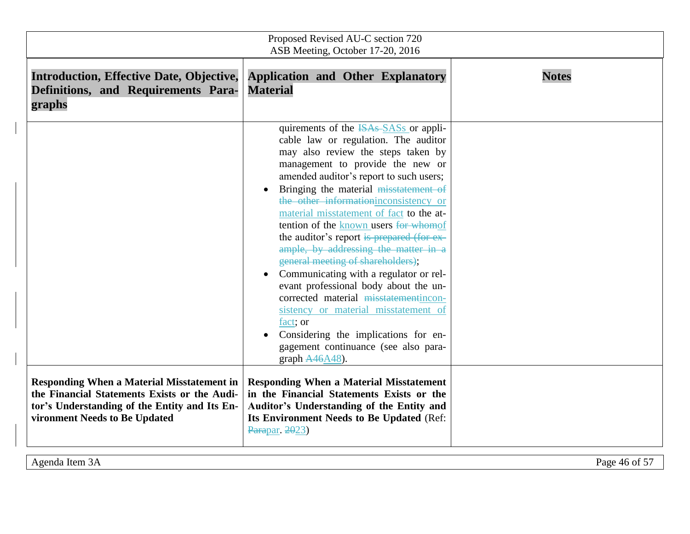| Proposed Revised AU-C section 720<br>ASB Meeting, October 17-20, 2016                                                          |                                                                                                                                                                                                                                                                                                                                                                                                                                                                                                                                                                                                                                                                                                                                                                                                                                                                       |               |
|--------------------------------------------------------------------------------------------------------------------------------|-----------------------------------------------------------------------------------------------------------------------------------------------------------------------------------------------------------------------------------------------------------------------------------------------------------------------------------------------------------------------------------------------------------------------------------------------------------------------------------------------------------------------------------------------------------------------------------------------------------------------------------------------------------------------------------------------------------------------------------------------------------------------------------------------------------------------------------------------------------------------|---------------|
| <b>Introduction, Effective Date, Objective,</b><br>Definitions, and Requirements Para-<br>graphs                               | <b>Application and Other Explanatory</b><br><b>Material</b>                                                                                                                                                                                                                                                                                                                                                                                                                                                                                                                                                                                                                                                                                                                                                                                                           | <b>Notes</b>  |
| <b>Responding When a Material Misstatement in</b>                                                                              | quirements of the ISAs SASs or appli-<br>cable law or regulation. The auditor<br>may also review the steps taken by<br>management to provide the new or<br>amended auditor's report to such users;<br>Bringing the material misstatement of<br>$\bullet$<br>the other information inconsistency or<br>material misstatement of fact to the at-<br>tention of the known users for whomof<br>the auditor's report is prepared (for ex-<br>ample, by addressing the matter in a<br>general meeting of shareholders);<br>Communicating with a regulator or rel-<br>$\bullet$<br>evant professional body about the un-<br>corrected material misstatementincon-<br>sistency or material misstatement of<br>fact; or<br>Considering the implications for en-<br>gagement continuance (see also para-<br>graph $A46A48$ ).<br><b>Responding When a Material Misstatement</b> |               |
| the Financial Statements Exists or the Audi-<br>tor's Understanding of the Entity and Its En-<br>vironment Needs to Be Updated | in the Financial Statements Exists or the<br>Auditor's Understanding of the Entity and<br>Its Environment Needs to Be Updated (Ref:<br>Parapar. 2023)                                                                                                                                                                                                                                                                                                                                                                                                                                                                                                                                                                                                                                                                                                                 |               |
| Agenda Item 3A                                                                                                                 |                                                                                                                                                                                                                                                                                                                                                                                                                                                                                                                                                                                                                                                                                                                                                                                                                                                                       | Page 46 of 57 |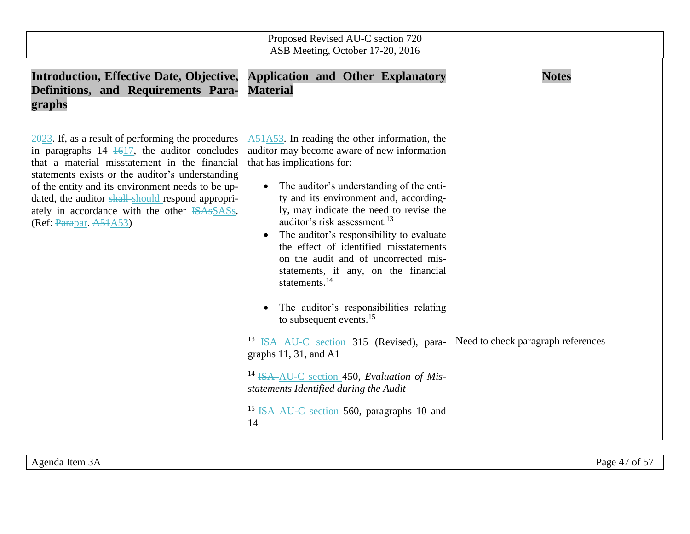| Proposed Revised AU-C section 720<br>ASB Meeting, October 17-20, 2016                                                                                                                                                                                                                                                                                                                                                  |                                                                                                                                                                                                                                                                                                                                                                                                                                                                                                                                                                                                                                                                                                                                                                                                                                                              |                                    |  |  |
|------------------------------------------------------------------------------------------------------------------------------------------------------------------------------------------------------------------------------------------------------------------------------------------------------------------------------------------------------------------------------------------------------------------------|--------------------------------------------------------------------------------------------------------------------------------------------------------------------------------------------------------------------------------------------------------------------------------------------------------------------------------------------------------------------------------------------------------------------------------------------------------------------------------------------------------------------------------------------------------------------------------------------------------------------------------------------------------------------------------------------------------------------------------------------------------------------------------------------------------------------------------------------------------------|------------------------------------|--|--|
| <b>Introduction, Effective Date, Objective,</b><br>Definitions, and Requirements Para-<br>graphs                                                                                                                                                                                                                                                                                                                       | <b>Application and Other Explanatory</b><br><b>Material</b>                                                                                                                                                                                                                                                                                                                                                                                                                                                                                                                                                                                                                                                                                                                                                                                                  | <b>Notes</b>                       |  |  |
| $\frac{2023}{1}$ . If, as a result of performing the procedures<br>in paragraphs $14-\frac{1617}{16}$ , the auditor concludes<br>that a material misstatement in the financial<br>statements exists or the auditor's understanding<br>of the entity and its environment needs to be up-<br>dated, the auditor shall-should respond appropri-<br>ately in accordance with the other ISAsSASs.<br>(Ref: Parapar, A51A53) | $A51A53$ . In reading the other information, the<br>auditor may become aware of new information<br>that has implications for:<br>The auditor's understanding of the enti-<br>ty and its environment and, according-<br>ly, may indicate the need to revise the<br>auditor's risk assessment. <sup>13</sup><br>The auditor's responsibility to evaluate<br>$\bullet$<br>the effect of identified misstatements<br>on the audit and of uncorrected mis-<br>statements, if any, on the financial<br>statements. $^{14}$<br>The auditor's responsibilities relating<br>to subsequent events. <sup>15</sup><br><sup>13</sup> ISA-AU-C section 315 (Revised), para-<br>graphs $11, 31$ , and A1<br><sup>14</sup> ISA-AU-C section 450, Evaluation of Mis-<br>statements Identified during the Audit<br><sup>15</sup> ISA-AU-C section 560, paragraphs 10 and<br>14 | Need to check paragraph references |  |  |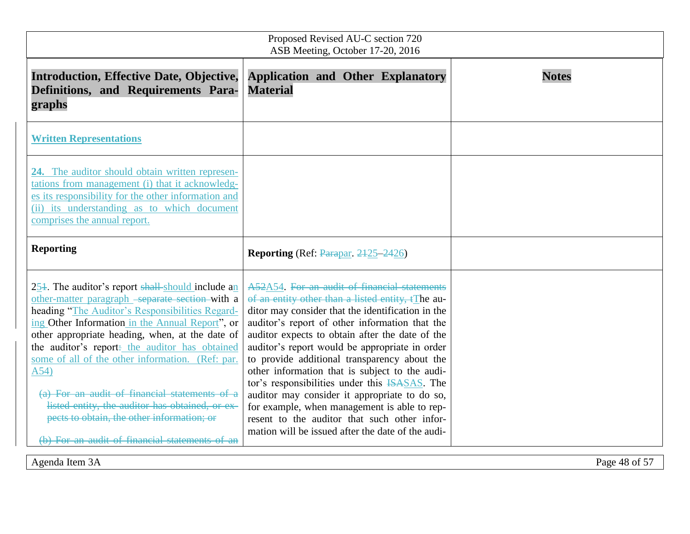| Proposed Revised AU-C section 720<br>ASB Meeting, October 17-20, 2016                                                                                                                                                                                                                                                                                                                                                                                                                                                                                                                        |                                                                                                                                                                                                                                                                                                                                                                                                                                                                                                                                                                                                                                                                                |               |  |
|----------------------------------------------------------------------------------------------------------------------------------------------------------------------------------------------------------------------------------------------------------------------------------------------------------------------------------------------------------------------------------------------------------------------------------------------------------------------------------------------------------------------------------------------------------------------------------------------|--------------------------------------------------------------------------------------------------------------------------------------------------------------------------------------------------------------------------------------------------------------------------------------------------------------------------------------------------------------------------------------------------------------------------------------------------------------------------------------------------------------------------------------------------------------------------------------------------------------------------------------------------------------------------------|---------------|--|
| <b>Introduction, Effective Date, Objective,</b><br>Definitions, and Requirements Para-<br>graphs                                                                                                                                                                                                                                                                                                                                                                                                                                                                                             | <b>Application and Other Explanatory</b><br><b>Material</b>                                                                                                                                                                                                                                                                                                                                                                                                                                                                                                                                                                                                                    | <b>Notes</b>  |  |
| <b>Written Representations</b>                                                                                                                                                                                                                                                                                                                                                                                                                                                                                                                                                               |                                                                                                                                                                                                                                                                                                                                                                                                                                                                                                                                                                                                                                                                                |               |  |
| 24. The auditor should obtain written represen-<br>tations from management (i) that it acknowledg-<br>es its responsibility for the other information and<br>(ii) its understanding as to which document<br>comprises the annual report.                                                                                                                                                                                                                                                                                                                                                     |                                                                                                                                                                                                                                                                                                                                                                                                                                                                                                                                                                                                                                                                                |               |  |
| <b>Reporting</b>                                                                                                                                                                                                                                                                                                                                                                                                                                                                                                                                                                             | <b>Reporting</b> (Ref: Parapar, 2425–2426)                                                                                                                                                                                                                                                                                                                                                                                                                                                                                                                                                                                                                                     |               |  |
| $25\frac{1}{2}$ . The auditor's report shall-should include an<br>other-matter paragraph -separate section with a<br>heading "The Auditor's Responsibilities Regard-<br>ing Other Information in the Annual Report", or<br>other appropriate heading, when, at the date of<br>the auditor's report- the auditor has obtained<br>some of all of the other information. (Ref: par.<br>A54)<br>(a) For an audit of financial statements of a<br>listed entity, the auditor has obtained, or ex-<br>pects to obtain, the other information; or<br>(b) For an audit of financial statements of an | A52A54. For an audit of financial statements<br>of an entity other than a listed entity, tThe au-<br>ditor may consider that the identification in the<br>auditor's report of other information that the<br>auditor expects to obtain after the date of the<br>auditor's report would be appropriate in order<br>to provide additional transparency about the<br>other information that is subject to the audi-<br>tor's responsibilities under this <b>ISASAS</b> . The<br>auditor may consider it appropriate to do so,<br>for example, when management is able to rep-<br>resent to the auditor that such other infor-<br>mation will be issued after the date of the audi- |               |  |
| Agenda Item 3A                                                                                                                                                                                                                                                                                                                                                                                                                                                                                                                                                                               |                                                                                                                                                                                                                                                                                                                                                                                                                                                                                                                                                                                                                                                                                | Page 48 of 57 |  |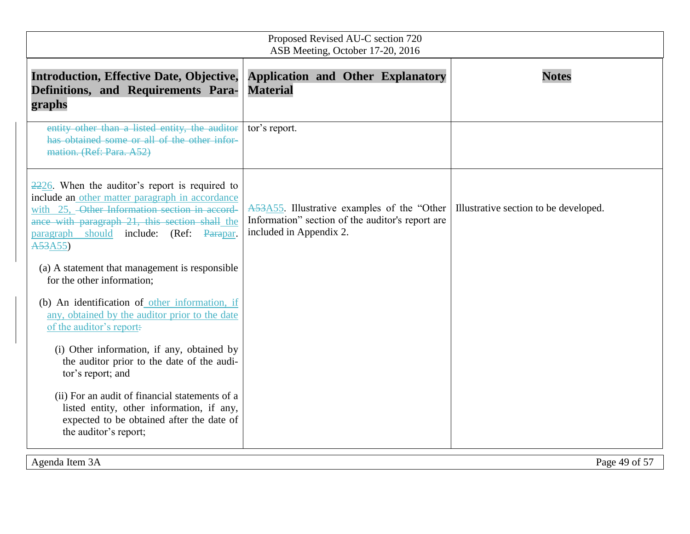| Proposed Revised AU-C section 720<br>ASB Meeting, October 17-20, 2016                                                                                                                                                                                           |                                                                                                                            |                                       |  |
|-----------------------------------------------------------------------------------------------------------------------------------------------------------------------------------------------------------------------------------------------------------------|----------------------------------------------------------------------------------------------------------------------------|---------------------------------------|--|
| <b>Introduction, Effective Date, Objective,</b><br>Definitions, and Requirements Para-<br>graphs                                                                                                                                                                | <b>Application and Other Explanatory</b><br><b>Material</b>                                                                | <b>Notes</b>                          |  |
| entity other than a listed entity, the auditor<br>has obtained some or all of the other infor-<br>mation. (Ref: Para. A52)                                                                                                                                      | tor's report.                                                                                                              |                                       |  |
| $2226$ . When the auditor's report is required to<br>include an other matter paragraph in accordance<br>with 25, -Other Information section in accord-<br>ance with paragraph 21, this section shall the<br>paragraph should include: (Ref: Parapar.<br>A53A55) | A53A55. Illustrative examples of the "Other<br>Information" section of the auditor's report are<br>included in Appendix 2. | Illustrative section to be developed. |  |
| (a) A statement that management is responsible<br>for the other information;                                                                                                                                                                                    |                                                                                                                            |                                       |  |
| (b) An identification of other information, if<br>any, obtained by the auditor prior to the date<br>of the auditor's report:                                                                                                                                    |                                                                                                                            |                                       |  |
| (i) Other information, if any, obtained by<br>the auditor prior to the date of the audi-<br>tor's report; and                                                                                                                                                   |                                                                                                                            |                                       |  |
| (ii) For an audit of financial statements of a<br>listed entity, other information, if any,<br>expected to be obtained after the date of<br>the auditor's report;                                                                                               |                                                                                                                            |                                       |  |
| Agenda Item 3A                                                                                                                                                                                                                                                  |                                                                                                                            | Page 49 of 57                         |  |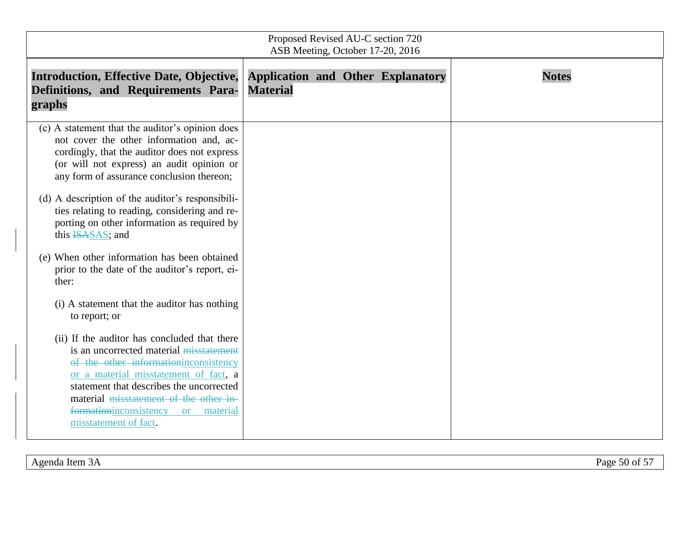| Proposed Revised AU-C section 720<br>ASB Meeting, October 17-20, 2016                                                                                                                                                                                                                                                                                                                                                                                                                                                                                                                                                                                                                                                                                                                                                                                                                                                                     |                 |                                          |              |
|-------------------------------------------------------------------------------------------------------------------------------------------------------------------------------------------------------------------------------------------------------------------------------------------------------------------------------------------------------------------------------------------------------------------------------------------------------------------------------------------------------------------------------------------------------------------------------------------------------------------------------------------------------------------------------------------------------------------------------------------------------------------------------------------------------------------------------------------------------------------------------------------------------------------------------------------|-----------------|------------------------------------------|--------------|
| <b>Introduction, Effective Date, Objective,</b><br>Definitions, and Requirements Para-<br>graphs                                                                                                                                                                                                                                                                                                                                                                                                                                                                                                                                                                                                                                                                                                                                                                                                                                          | <b>Material</b> | <b>Application and Other Explanatory</b> | <b>Notes</b> |
| (c) A statement that the auditor's opinion does<br>not cover the other information and, ac-<br>cordingly, that the auditor does not express<br>(or will not express) an audit opinion or<br>any form of assurance conclusion thereon;<br>(d) A description of the auditor's responsibili-<br>ties relating to reading, considering and re-<br>porting on other information as required by<br>this ISASAS; and<br>(e) When other information has been obtained<br>prior to the date of the auditor's report, ei-<br>ther:<br>(i) A statement that the auditor has nothing<br>to report; or<br>(ii) If the auditor has concluded that there<br>is an uncorrected material misstatement<br>of the other information inconsistency<br>or a material misstatement of fact, a<br>statement that describes the uncorrected<br>material misstatement of the other in-<br>formationinconsistency<br>material<br><b>or</b><br>misstatement of fact. |                 |                                          |              |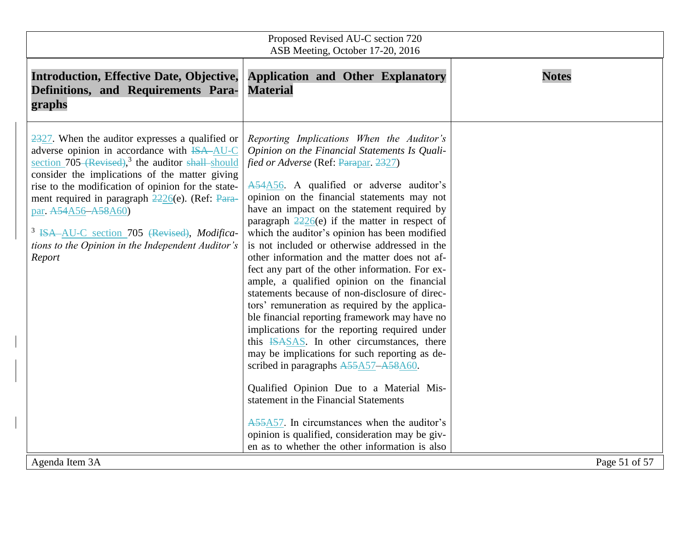| Proposed Revised AU-C section 720<br>ASB Meeting, October 17-20, 2016                                                                                                                                                                                                                                                                                                                                                                                                                                  |                                                                                                                                                                                                                                                                                                                                                                                                                                                                                                                                                                                                                                                                                                                                                                                                                                                                                                                                                                                                                                                                                                                                                                                           |               |  |
|--------------------------------------------------------------------------------------------------------------------------------------------------------------------------------------------------------------------------------------------------------------------------------------------------------------------------------------------------------------------------------------------------------------------------------------------------------------------------------------------------------|-------------------------------------------------------------------------------------------------------------------------------------------------------------------------------------------------------------------------------------------------------------------------------------------------------------------------------------------------------------------------------------------------------------------------------------------------------------------------------------------------------------------------------------------------------------------------------------------------------------------------------------------------------------------------------------------------------------------------------------------------------------------------------------------------------------------------------------------------------------------------------------------------------------------------------------------------------------------------------------------------------------------------------------------------------------------------------------------------------------------------------------------------------------------------------------------|---------------|--|
| <b>Introduction, Effective Date, Objective,</b><br>Definitions, and Requirements Para-<br>graphs                                                                                                                                                                                                                                                                                                                                                                                                       | <b>Application and Other Explanatory</b><br><b>Material</b>                                                                                                                                                                                                                                                                                                                                                                                                                                                                                                                                                                                                                                                                                                                                                                                                                                                                                                                                                                                                                                                                                                                               | <b>Notes</b>  |  |
| $\frac{2327}{2327}$ . When the auditor expresses a qualified or<br>adverse opinion in accordance with <del>ISA-AU-C</del><br>section $705$ (Revised), <sup>3</sup> the auditor shall-should<br>consider the implications of the matter giving<br>rise to the modification of opinion for the state-<br>ment required in paragraph 2226(e). (Ref: Para-<br>par. A54A56-A58A60)<br><sup>3</sup> ISA AU-C section 705 (Revised), Modifica-<br>tions to the Opinion in the Independent Auditor's<br>Report | Reporting Implications When the Auditor's<br>Opinion on the Financial Statements Is Quali-<br>fied or Adverse (Ref: Parapar, 2327)<br>A54A56. A qualified or adverse auditor's<br>opinion on the financial statements may not<br>have an impact on the statement required by<br>paragraph $\frac{2226}{e}$ if the matter in respect of<br>which the auditor's opinion has been modified<br>is not included or otherwise addressed in the<br>other information and the matter does not af-<br>fect any part of the other information. For ex-<br>ample, a qualified opinion on the financial<br>statements because of non-disclosure of direc-<br>tors' remuneration as required by the applica-<br>ble financial reporting framework may have no<br>implications for the reporting required under<br>this <b>ISASAS</b> . In other circumstances, there<br>may be implications for such reporting as de-<br>scribed in paragraphs A55A57-A58A60.<br>Qualified Opinion Due to a Material Mis-<br>statement in the Financial Statements<br>A55A57. In circumstances when the auditor's<br>opinion is qualified, consideration may be giv-<br>en as to whether the other information is also |               |  |
| Agenda Item 3A                                                                                                                                                                                                                                                                                                                                                                                                                                                                                         |                                                                                                                                                                                                                                                                                                                                                                                                                                                                                                                                                                                                                                                                                                                                                                                                                                                                                                                                                                                                                                                                                                                                                                                           | Page 51 of 57 |  |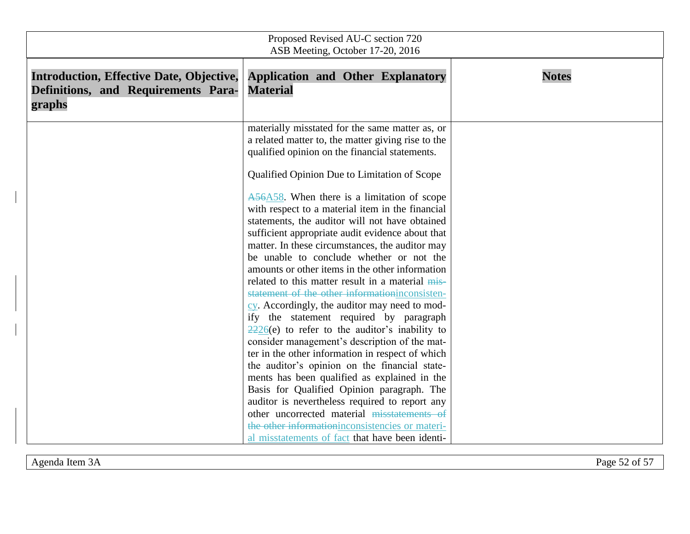| Proposed Revised AU-C section 720<br>ASB Meeting, October 17-20, 2016                            |                                                                                                                                                                                                                                                                                                                                                                                                                                                                                                                     |              |  |
|--------------------------------------------------------------------------------------------------|---------------------------------------------------------------------------------------------------------------------------------------------------------------------------------------------------------------------------------------------------------------------------------------------------------------------------------------------------------------------------------------------------------------------------------------------------------------------------------------------------------------------|--------------|--|
| <b>Introduction, Effective Date, Objective,</b><br>Definitions, and Requirements Para-<br>graphs | <b>Application and Other Explanatory</b><br><b>Material</b>                                                                                                                                                                                                                                                                                                                                                                                                                                                         | <b>Notes</b> |  |
|                                                                                                  | materially misstated for the same matter as, or<br>a related matter to, the matter giving rise to the<br>qualified opinion on the financial statements.<br>Qualified Opinion Due to Limitation of Scope<br>A56A58. When there is a limitation of scope<br>with respect to a material item in the financial<br>statements, the auditor will not have obtained                                                                                                                                                        |              |  |
|                                                                                                  | sufficient appropriate audit evidence about that<br>matter. In these circumstances, the auditor may<br>be unable to conclude whether or not the<br>amounts or other items in the other information<br>related to this matter result in a material mis-<br>statement of the other informationinconsisten-<br>cy. Accordingly, the auditor may need to mod-<br>ify the statement required by paragraph                                                                                                                |              |  |
|                                                                                                  | $\frac{2226}{e}$ to refer to the auditor's inability to<br>consider management's description of the mat-<br>ter in the other information in respect of which<br>the auditor's opinion on the financial state-<br>ments has been qualified as explained in the<br>Basis for Qualified Opinion paragraph. The<br>auditor is nevertheless required to report any<br>other uncorrected material misstatements of<br>the other information inconsistencies or materi-<br>al misstatements of fact that have been identi- |              |  |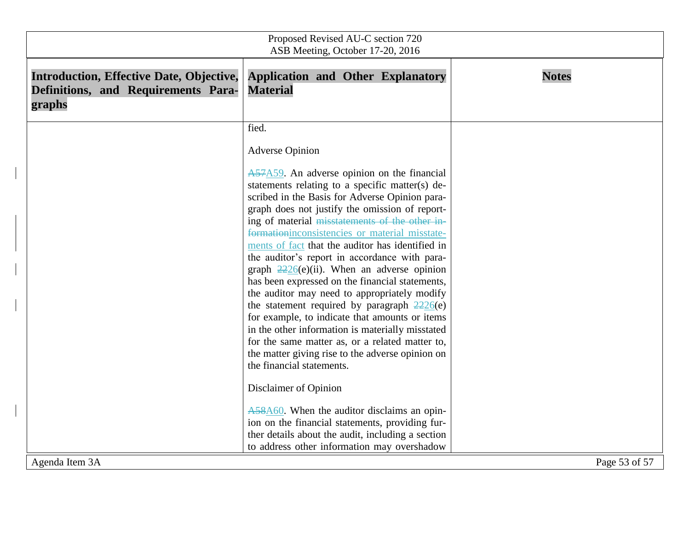| Proposed Revised AU-C section 720<br>ASB Meeting, October 17-20, 2016                            |                                                                                                                                                                                                                                                                                                                                                                                                                                                                                                                                                                                                                                                                                                                                                                                                                                                                                                                                  |               |  |
|--------------------------------------------------------------------------------------------------|----------------------------------------------------------------------------------------------------------------------------------------------------------------------------------------------------------------------------------------------------------------------------------------------------------------------------------------------------------------------------------------------------------------------------------------------------------------------------------------------------------------------------------------------------------------------------------------------------------------------------------------------------------------------------------------------------------------------------------------------------------------------------------------------------------------------------------------------------------------------------------------------------------------------------------|---------------|--|
| <b>Introduction, Effective Date, Objective,</b><br>Definitions, and Requirements Para-<br>graphs | <b>Application and Other Explanatory</b><br><b>Material</b>                                                                                                                                                                                                                                                                                                                                                                                                                                                                                                                                                                                                                                                                                                                                                                                                                                                                      | <b>Notes</b>  |  |
|                                                                                                  | fied.<br><b>Adverse Opinion</b><br>$A57A59$ . An adverse opinion on the financial<br>statements relating to a specific matter(s) de-<br>scribed in the Basis for Adverse Opinion para-<br>graph does not justify the omission of report-<br>ing of material misstatements of the other in-<br>formationinconsistencies or material misstate-<br>ments of fact that the auditor has identified in<br>the auditor's report in accordance with para-<br>graph $2226(e)(ii)$ . When an adverse opinion<br>has been expressed on the financial statements,<br>the auditor may need to appropriately modify<br>the statement required by paragraph $\frac{2226}{e}$<br>for example, to indicate that amounts or items<br>in the other information is materially misstated<br>for the same matter as, or a related matter to,<br>the matter giving rise to the adverse opinion on<br>the financial statements.<br>Disclaimer of Opinion |               |  |
| Agenda Item 3A                                                                                   | A58A60. When the auditor disclaims an opin-<br>ion on the financial statements, providing fur-<br>ther details about the audit, including a section<br>to address other information may overshadow                                                                                                                                                                                                                                                                                                                                                                                                                                                                                                                                                                                                                                                                                                                               | Page 53 of 57 |  |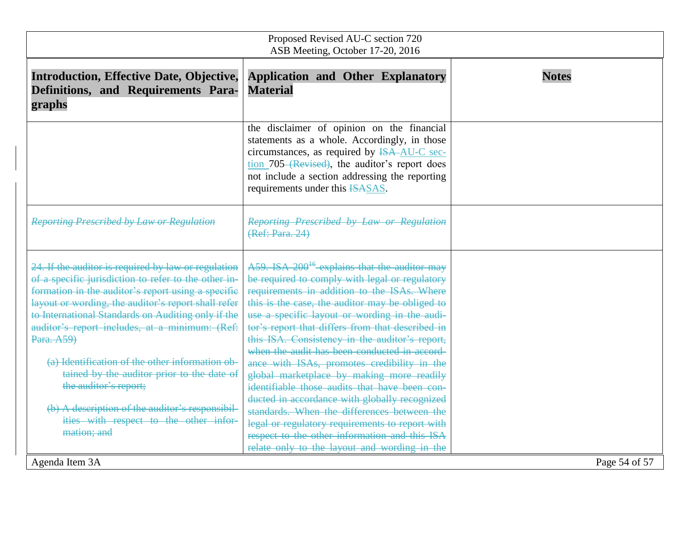| <b>Introduction, Effective Date, Objective,</b><br>Definitions, and Requirements Para-                                                                                                                                                                                                                                                                                                                                                                                                                                                                                                                 | <b>Application and Other Explanatory</b><br><b>Material</b>                                                                                                                                                                                                                                                                                                                                                                                                                                                                                                                                                                                                                                                                                                                                                           | <b>Notes</b>  |
|--------------------------------------------------------------------------------------------------------------------------------------------------------------------------------------------------------------------------------------------------------------------------------------------------------------------------------------------------------------------------------------------------------------------------------------------------------------------------------------------------------------------------------------------------------------------------------------------------------|-----------------------------------------------------------------------------------------------------------------------------------------------------------------------------------------------------------------------------------------------------------------------------------------------------------------------------------------------------------------------------------------------------------------------------------------------------------------------------------------------------------------------------------------------------------------------------------------------------------------------------------------------------------------------------------------------------------------------------------------------------------------------------------------------------------------------|---------------|
| graphs                                                                                                                                                                                                                                                                                                                                                                                                                                                                                                                                                                                                 |                                                                                                                                                                                                                                                                                                                                                                                                                                                                                                                                                                                                                                                                                                                                                                                                                       |               |
|                                                                                                                                                                                                                                                                                                                                                                                                                                                                                                                                                                                                        | the disclaimer of opinion on the financial<br>statements as a whole. Accordingly, in those<br>circumstances, as required by <del>ISA AU-C</del> sec-<br>tion 705 (Revised), the auditor's report does<br>not include a section addressing the reporting<br>requirements under this ISASAS.                                                                                                                                                                                                                                                                                                                                                                                                                                                                                                                            |               |
| <b>Reporting Prescribed by Law or Regulation</b>                                                                                                                                                                                                                                                                                                                                                                                                                                                                                                                                                       | Reporting Prescribed by Law or Regulation<br>(Ref: Para. 24)                                                                                                                                                                                                                                                                                                                                                                                                                                                                                                                                                                                                                                                                                                                                                          |               |
| 24. If the auditor is required by law or regulation<br>of a specific jurisdiction to refer to the other in-<br>formation in the auditor's report using a specific<br>layout or wording, the auditor's report shall refer<br>to International Standards on Auditing only if the<br>auditor's report includes, at a minimum: (Ref:<br>Para. A59)<br>(a) Identification of the other information ob-<br>tained by the auditor prior to the date of<br>the auditor's report;<br>(b) A description of the auditor's responsibil-<br>ities with respect to the other infor-<br>mation; and<br>Agenda Item 3A | A59. ISA 200 <sup>16</sup> -explains that the auditor may<br>be required to comply with legal or regulatory<br>requirements in addition to the ISAs. Where<br>this is the case, the auditor may be obliged to<br>use a specific layout or wording in the audi-<br>tor's report that differs from that described in<br>this ISA. Consistency in the auditor's report,<br>when the audit has been conducted in accord-<br>ance with ISAs, promotes credibility in the<br>global marketplace by making more readily<br>identifiable those audits that have been con-<br>ducted in accordance with globally recognized<br>standards. When the differences between the<br>legal or regulatory requirements to report with<br>respect to the other information and this ISA<br>relate only to the layout and wording in the | Page 54 of 57 |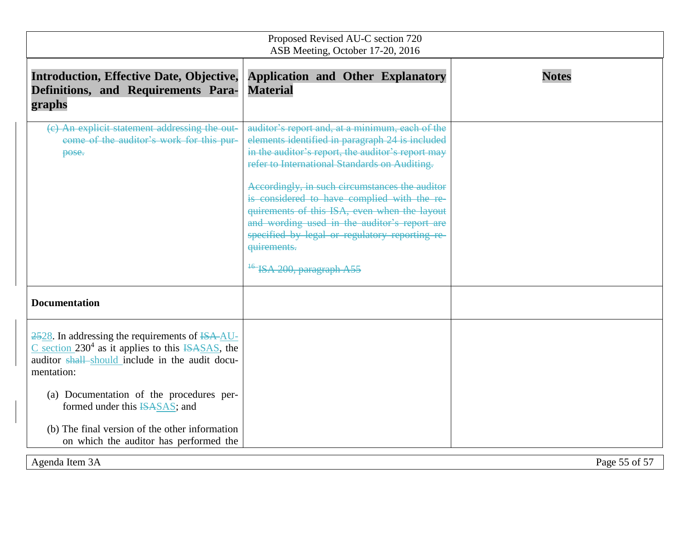| Proposed Revised AU-C section 720<br>ASB Meeting, October 17-20, 2016                                                                                                                                     |                                                                                                                                                                                                                                                                                                                                                                                                                                                                                                              |               |  |
|-----------------------------------------------------------------------------------------------------------------------------------------------------------------------------------------------------------|--------------------------------------------------------------------------------------------------------------------------------------------------------------------------------------------------------------------------------------------------------------------------------------------------------------------------------------------------------------------------------------------------------------------------------------------------------------------------------------------------------------|---------------|--|
| <b>Introduction, Effective Date, Objective,</b><br>Definitions, and Requirements Para-<br>graphs                                                                                                          | <b>Application and Other Explanatory</b><br><b>Material</b>                                                                                                                                                                                                                                                                                                                                                                                                                                                  | <b>Notes</b>  |  |
| (c) An explicit statement addressing the out-<br>come of the auditor's work for this pur-<br>pose.                                                                                                        | auditor's report and, at a minimum, each of the<br>elements identified in paragraph 24 is included<br>in the auditor's report, the auditor's report may<br>refer to International Standards on Auditing.<br>Accordingly, in such circumstances the auditor<br>is considered to have complied with the re-<br>quirements of this ISA, even when the layout<br>and wording used in the auditor's report are<br>specified by legal or regulatory reporting re-<br>quirements.<br>$^{16}$ ISA 200, paragraph A55 |               |  |
| <b>Documentation</b>                                                                                                                                                                                      |                                                                                                                                                                                                                                                                                                                                                                                                                                                                                                              |               |  |
| 2528. In addressing the requirements of ISA-AU-<br>$\overline{C}$ section 230 <sup>4</sup> as it applies to this $\overline{ASAS}$ , the<br>auditor shall should include in the audit docu-<br>mentation: |                                                                                                                                                                                                                                                                                                                                                                                                                                                                                                              |               |  |
| (a) Documentation of the procedures per-<br>formed under this ISASAS; and                                                                                                                                 |                                                                                                                                                                                                                                                                                                                                                                                                                                                                                                              |               |  |
| (b) The final version of the other information<br>on which the auditor has performed the                                                                                                                  |                                                                                                                                                                                                                                                                                                                                                                                                                                                                                                              |               |  |
| Agenda Item 3A                                                                                                                                                                                            |                                                                                                                                                                                                                                                                                                                                                                                                                                                                                                              | Page 55 of 57 |  |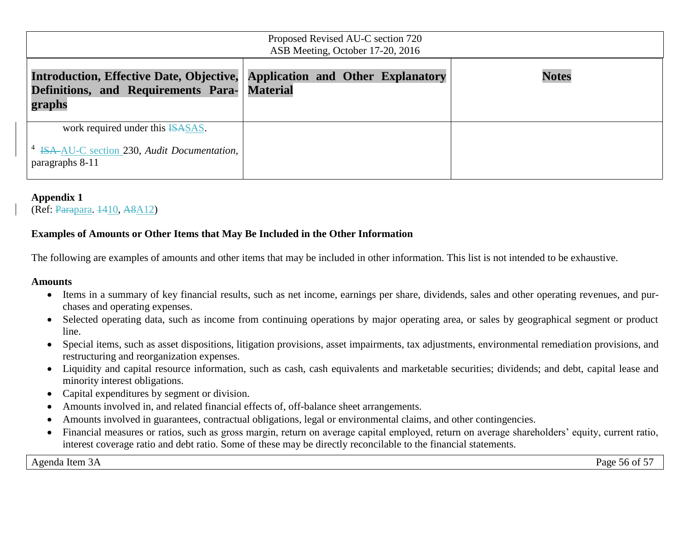| Proposed Revised AU-C section 720<br>ASB Meeting, October 17-20, 2016                                                                |  |  |              |
|--------------------------------------------------------------------------------------------------------------------------------------|--|--|--------------|
| Introduction, Effective Date, Objective, Application and Other Explanatory<br>Definitions, and Requirements Para- Material<br>graphs |  |  | <b>Notes</b> |
| work required under this <b>ISASAS</b> .<br><sup>4</sup> ISA-AU-C section 230, Audit Documentation,<br>paragraphs 8-11               |  |  |              |

## **Appendix 1**

(Ref: Parapara. 1410, A8A12)

## **Examples of Amounts or Other Items that May Be Included in the Other Information**

The following are examples of amounts and other items that may be included in other information. This list is not intended to be exhaustive.

#### **Amounts**

- Items in a summary of key financial results, such as net income, earnings per share, dividends, sales and other operating revenues, and purchases and operating expenses.
- Selected operating data, such as income from continuing operations by major operating area, or sales by geographical segment or product line.
- Special items, such as asset dispositions, litigation provisions, asset impairments, tax adjustments, environmental remediation provisions, and restructuring and reorganization expenses.
- Liquidity and capital resource information, such as cash, cash equivalents and marketable securities; dividends; and debt, capital lease and minority interest obligations.
- Capital expenditures by segment or division.
- Amounts involved in, and related financial effects of, off-balance sheet arrangements.
- Amounts involved in guarantees, contractual obligations, legal or environmental claims, and other contingencies.
- Financial measures or ratios, such as gross margin, return on average capital employed, return on average shareholders' equity, current ratio, interest coverage ratio and debt ratio. Some of these may be directly reconcilable to the financial statements.

Agenda Item 3A Page 56 of 57